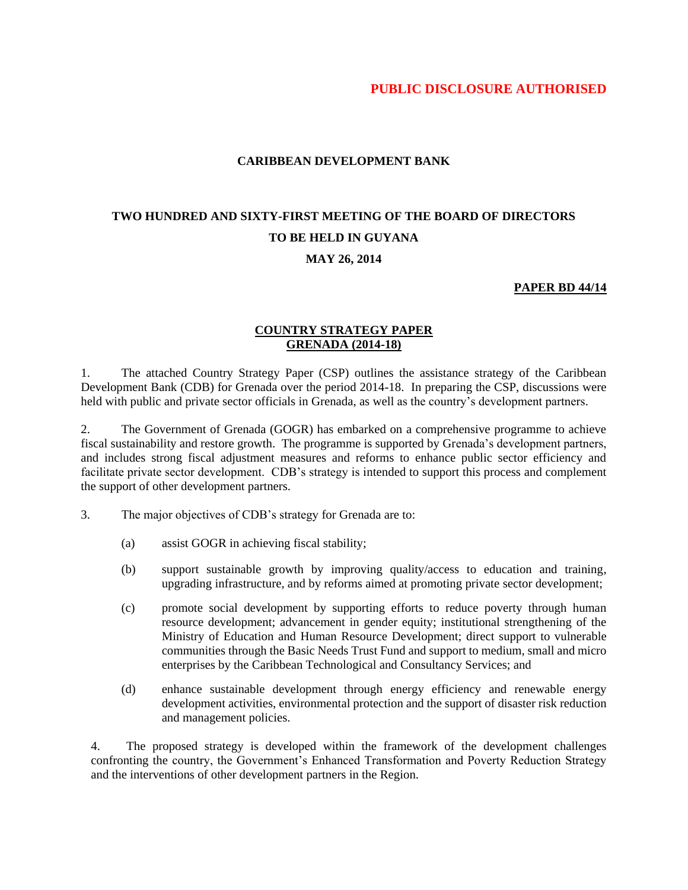### **PUBLIC DISCLOSURE AUTHORISED**

### **CARIBBEAN DEVELOPMENT BANK**

# **TWO HUNDRED AND SIXTY-FIRST MEETING OF THE BOARD OF DIRECTORS TO BE HELD IN GUYANA MAY 26, 2014**

#### **PAPER BD 44/14**

#### **COUNTRY STRATEGY PAPER GRENADA (2014-18)**

1. The attached Country Strategy Paper (CSP) outlines the assistance strategy of the Caribbean Development Bank (CDB) for Grenada over the period 2014-18. In preparing the CSP, discussions were held with public and private sector officials in Grenada, as well as the country's development partners.

2. The Government of Grenada (GOGR) has embarked on a comprehensive programme to achieve fiscal sustainability and restore growth. The programme is supported by Grenada's development partners, and includes strong fiscal adjustment measures and reforms to enhance public sector efficiency and facilitate private sector development. CDB's strategy is intended to support this process and complement the support of other development partners.

- 3. The major objectives of CDB's strategy for Grenada are to:
	- (a) assist GOGR in achieving fiscal stability;
	- (b) support sustainable growth by improving quality/access to education and training, upgrading infrastructure, and by reforms aimed at promoting private sector development;
	- (c) promote social development by supporting efforts to reduce poverty through human resource development; advancement in gender equity; institutional strengthening of the Ministry of Education and Human Resource Development; direct support to vulnerable communities through the Basic Needs Trust Fund and support to medium, small and micro enterprises by the Caribbean Technological and Consultancy Services; and
	- (d) enhance sustainable development through energy efficiency and renewable energy development activities, environmental protection and the support of disaster risk reduction and management policies.

4. The proposed strategy is developed within the framework of the development challenges confronting the country, the Government's Enhanced Transformation and Poverty Reduction Strategy and the interventions of other development partners in the Region.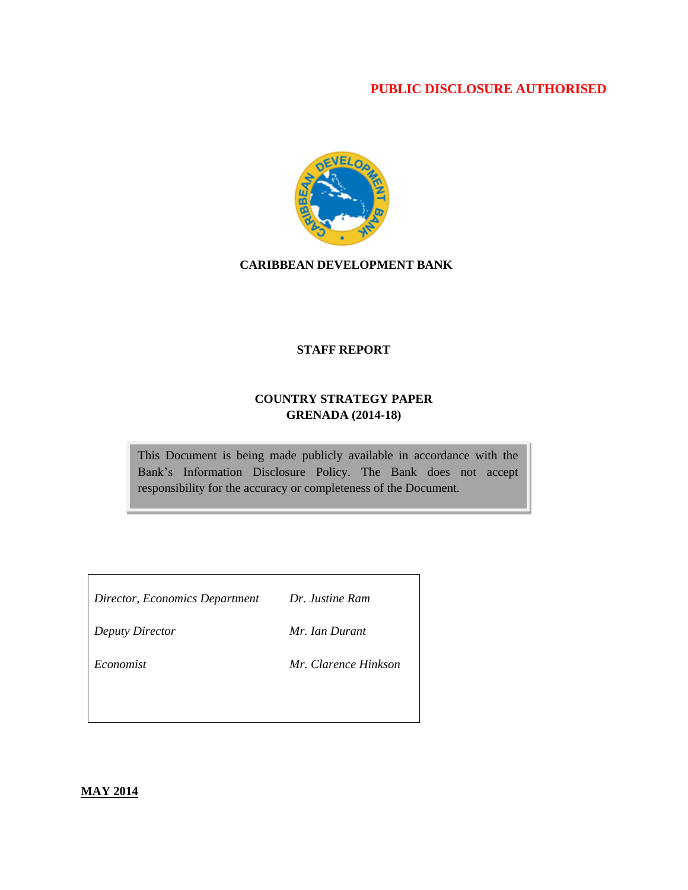# **PUBLIC DISCLOSURE AUTHORISED**



### **CARIBBEAN DEVELOPMENT BANK**

### **STAFF REPORT**

# **COUNTRY STRATEGY PAPER GRENADA (2014-18)**

This Document is being made publicly available in accordance with the Bank's Information Disclosure Policy. The Bank does not accept responsibility for the accuracy or completeness of the Document.

*Director, Economics Department Dr. Justine Ram*

*Deputy Director*

*Mr. Ian Durant*

*Economist Mr. Clarence Hinkson*

### **MAY 2014**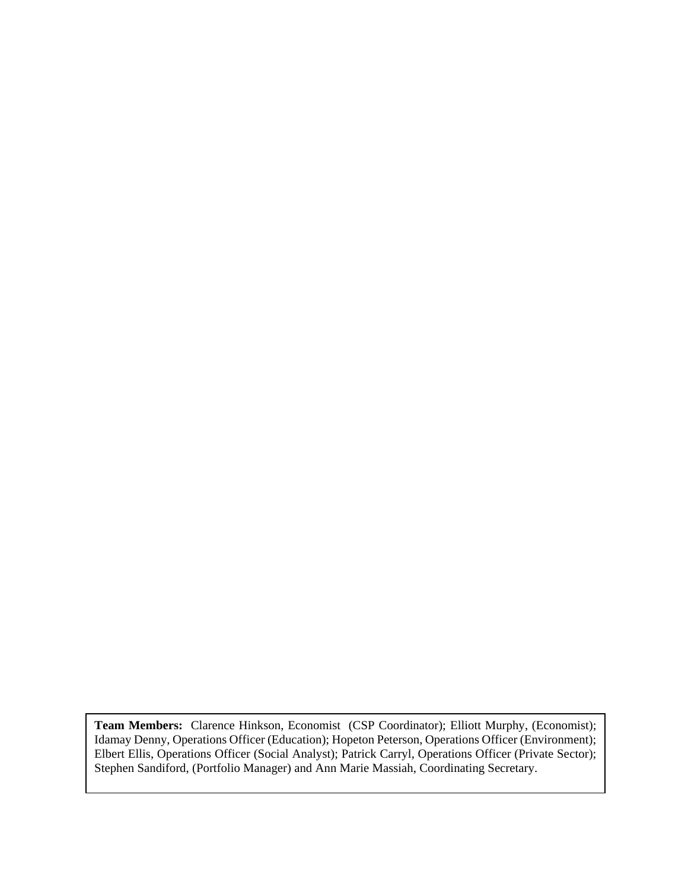**Team Members:** Clarence Hinkson, Economist (CSP Coordinator); Elliott Murphy, (Economist); Idamay Denny, Operations Officer (Education); Hopeton Peterson, Operations Officer (Environment); Elbert Ellis, Operations Officer (Social Analyst); Patrick Carryl, Operations Officer (Private Sector); Stephen Sandiford, (Portfolio Manager) and Ann Marie Massiah, Coordinating Secretary.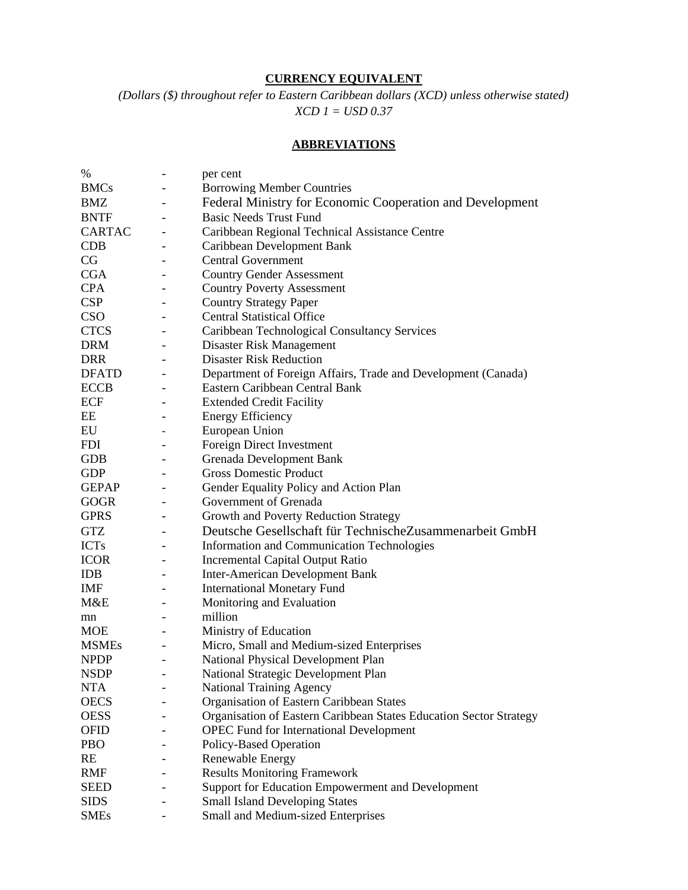# **CURRENCY EQUIVALENT**

*(Dollars (\$) throughout refer to Eastern Caribbean dollars (XCD) unless otherwise stated) XCD 1 = USD 0.37*

# **ABBREVIATIONS**

| %             |                          | per cent                                                           |  |  |  |  |
|---------------|--------------------------|--------------------------------------------------------------------|--|--|--|--|
| <b>BMCs</b>   |                          | <b>Borrowing Member Countries</b>                                  |  |  |  |  |
| <b>BMZ</b>    | $\overline{a}$           | Federal Ministry for Economic Cooperation and Development          |  |  |  |  |
| <b>BNTF</b>   |                          | <b>Basic Needs Trust Fund</b>                                      |  |  |  |  |
| <b>CARTAC</b> | $\overline{\phantom{a}}$ | Caribbean Regional Technical Assistance Centre                     |  |  |  |  |
| CDB           | $\overline{\phantom{0}}$ | Caribbean Development Bank                                         |  |  |  |  |
| CG            |                          | <b>Central Government</b>                                          |  |  |  |  |
| <b>CGA</b>    |                          | <b>Country Gender Assessment</b>                                   |  |  |  |  |
| <b>CPA</b>    |                          | <b>Country Poverty Assessment</b>                                  |  |  |  |  |
| CSP           | $\overline{\phantom{0}}$ | <b>Country Strategy Paper</b>                                      |  |  |  |  |
| <b>CSO</b>    | $\overline{\phantom{0}}$ | <b>Central Statistical Office</b>                                  |  |  |  |  |
| <b>CTCS</b>   | $\overline{\phantom{m}}$ | Caribbean Technological Consultancy Services                       |  |  |  |  |
| <b>DRM</b>    | $\overline{a}$           | Disaster Risk Management                                           |  |  |  |  |
| <b>DRR</b>    | $\overline{\phantom{a}}$ | <b>Disaster Risk Reduction</b>                                     |  |  |  |  |
| <b>DFATD</b>  | $\qquad \qquad -$        | Department of Foreign Affairs, Trade and Development (Canada)      |  |  |  |  |
| <b>ECCB</b>   | $\overline{a}$           | Eastern Caribbean Central Bank                                     |  |  |  |  |
| ECF           |                          | <b>Extended Credit Facility</b>                                    |  |  |  |  |
| EE            |                          | <b>Energy Efficiency</b>                                           |  |  |  |  |
| EU            | ÷                        | European Union                                                     |  |  |  |  |
| <b>FDI</b>    | $\overline{\phantom{0}}$ | Foreign Direct Investment                                          |  |  |  |  |
| <b>GDB</b>    | $\overline{a}$           | <b>Grenada Development Bank</b>                                    |  |  |  |  |
| <b>GDP</b>    |                          | <b>Gross Domestic Product</b>                                      |  |  |  |  |
| <b>GEPAP</b>  | $\overline{\phantom{a}}$ | Gender Equality Policy and Action Plan                             |  |  |  |  |
| <b>GOGR</b>   | $\overline{\phantom{a}}$ | Government of Grenada                                              |  |  |  |  |
| <b>GPRS</b>   |                          | Growth and Poverty Reduction Strategy                              |  |  |  |  |
| <b>GTZ</b>    |                          | Deutsche Gesellschaft für Technische Zusammenarbeit GmbH           |  |  |  |  |
| <b>ICTs</b>   |                          | Information and Communication Technologies                         |  |  |  |  |
| <b>ICOR</b>   | $\qquad \qquad -$        | Incremental Capital Output Ratio                                   |  |  |  |  |
| <b>IDB</b>    | $\overline{a}$           | <b>Inter-American Development Bank</b>                             |  |  |  |  |
| <b>IMF</b>    | $\overline{\phantom{0}}$ | <b>International Monetary Fund</b>                                 |  |  |  |  |
| M&E           | $\overline{\phantom{a}}$ | Monitoring and Evaluation                                          |  |  |  |  |
| mn            | $\overline{\phantom{0}}$ | million                                                            |  |  |  |  |
| <b>MOE</b>    |                          | Ministry of Education                                              |  |  |  |  |
| <b>MSMEs</b>  |                          | Micro, Small and Medium-sized Enterprises                          |  |  |  |  |
| <b>NPDP</b>   |                          | National Physical Development Plan                                 |  |  |  |  |
| <b>NSDP</b>   |                          | National Strategic Development Plan                                |  |  |  |  |
| <b>NTA</b>    |                          | <b>National Training Agency</b>                                    |  |  |  |  |
| <b>OECS</b>   |                          | Organisation of Eastern Caribbean States                           |  |  |  |  |
| <b>OESS</b>   |                          | Organisation of Eastern Caribbean States Education Sector Strategy |  |  |  |  |
| <b>OFID</b>   |                          | <b>OPEC Fund for International Development</b>                     |  |  |  |  |
| PBO           |                          | <b>Policy-Based Operation</b>                                      |  |  |  |  |
| RE            |                          | Renewable Energy                                                   |  |  |  |  |
| RMF           |                          | <b>Results Monitoring Framework</b>                                |  |  |  |  |
| <b>SEED</b>   |                          | Support for Education Empowerment and Development                  |  |  |  |  |
| <b>SIDS</b>   |                          | <b>Small Island Developing States</b>                              |  |  |  |  |
| <b>SMEs</b>   |                          | Small and Medium-sized Enterprises                                 |  |  |  |  |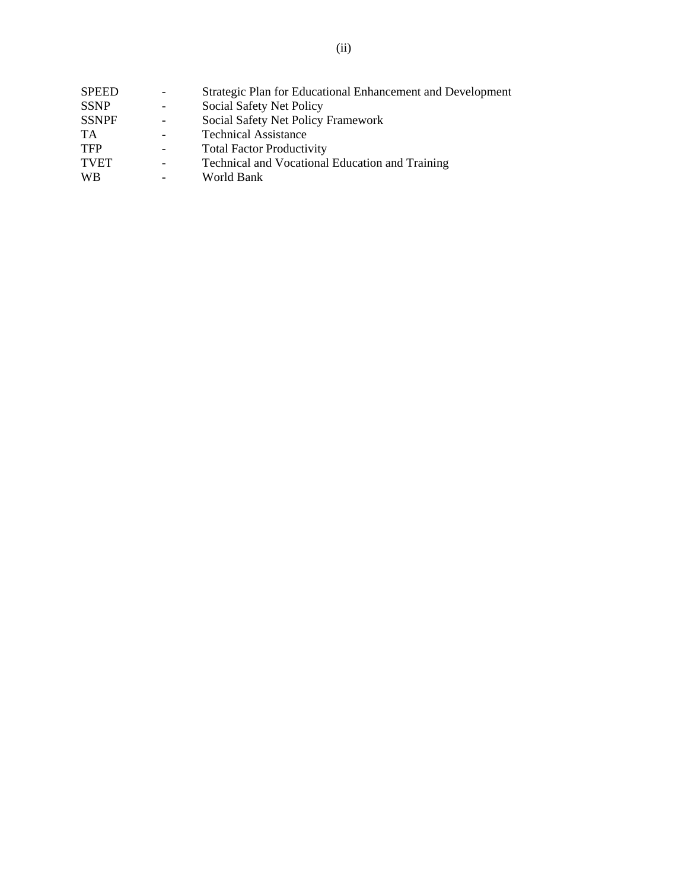| <b>SPEED</b> |                          | Strategic Plan for Educational Enhancement and Development |
|--------------|--------------------------|------------------------------------------------------------|
| <b>SSNP</b>  |                          | Social Safety Net Policy                                   |
| <b>SSNPF</b> |                          | Social Safety Net Policy Framework                         |
| TA           |                          | <b>Technical Assistance</b>                                |
| <b>TFP</b>   |                          | <b>Total Factor Productivity</b>                           |
| TVET         |                          | Technical and Vocational Education and Training            |
| <b>WB</b>    | $\overline{\phantom{0}}$ | World Bank                                                 |
|              |                          |                                                            |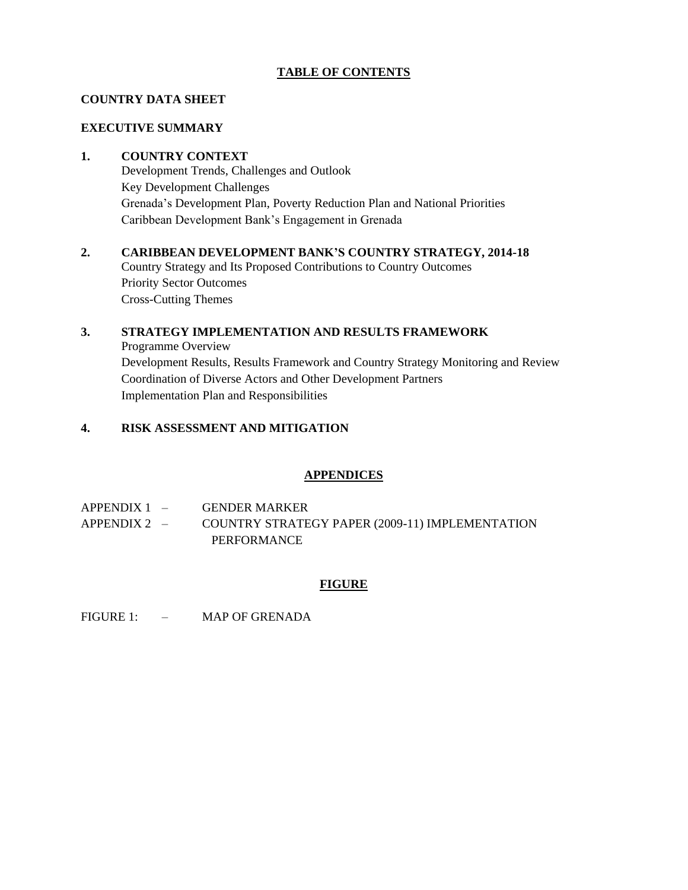# **TABLE OF CONTENTS**

## **COUNTRY DATA SHEET**

### **EXECUTIVE SUMMARY**

# **1. COUNTRY CONTEXT**

Development Trends, Challenges and Outlook Key Development Challenges Grenada's Development Plan, Poverty Reduction Plan and National Priorities Caribbean Development Bank's Engagement in Grenada

### **2. CARIBBEAN DEVELOPMENT BANK'S COUNTRY STRATEGY, 2014-18**

Country Strategy and Its Proposed Contributions to Country Outcomes Priority Sector Outcomes Cross-Cutting Themes

### **3. STRATEGY IMPLEMENTATION AND RESULTS FRAMEWORK**

Programme Overview Development Results, Results Framework and Country Strategy Monitoring and Review Coordination of Diverse Actors and Other Development Partners Implementation Plan and Responsibilities

## **4. RISK ASSESSMENT AND MITIGATION**

### **APPENDICES**

| $APPENDIX 1 -$ | <b>GENDER MARKER</b>                            |
|----------------|-------------------------------------------------|
| $APPENDIX 2 -$ | COUNTRY STRATEGY PAPER (2009-11) IMPLEMENTATION |
|                | <b>PERFORMANCE</b>                              |

# **FIGURE**

FIGURE 1: – MAP OF GRENADA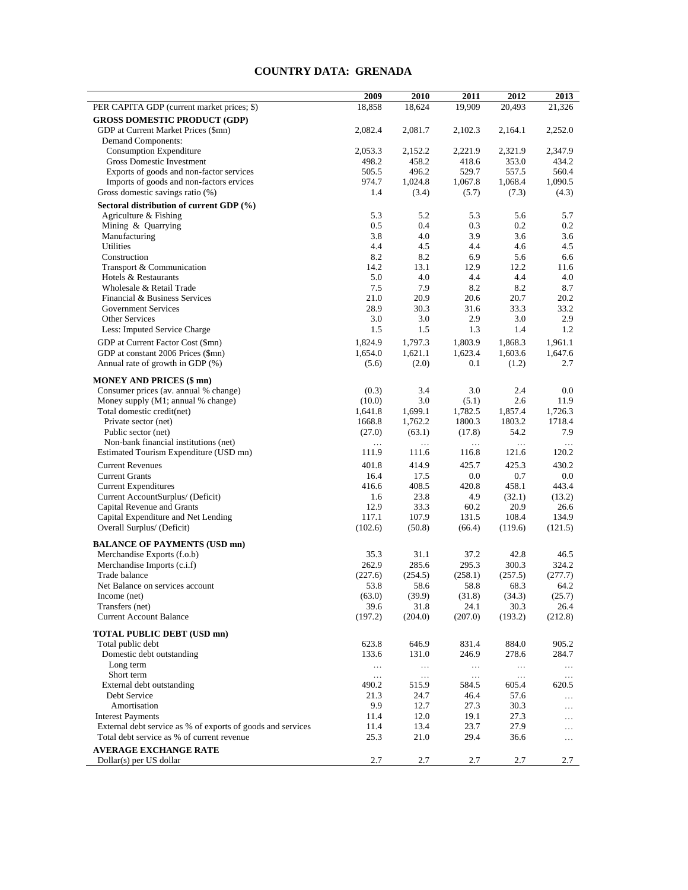# **COUNTRY DATA: GRENADA**

|                                                             | 2009           | 2010            | 2011           | 2012            | 2013            |
|-------------------------------------------------------------|----------------|-----------------|----------------|-----------------|-----------------|
| PER CAPITA GDP (current market prices; \$)                  | 18,858         | 18,624          | 19,909         | 20,493          | 21,326          |
| <b>GROSS DOMESTIC PRODUCT (GDP)</b>                         |                |                 |                |                 |                 |
| GDP at Current Market Prices (\$mn)                         | 2,082.4        | 2,081.7         | 2,102.3        | 2,164.1         | 2,252.0         |
| Demand Components:                                          |                |                 |                |                 |                 |
| <b>Consumption Expenditure</b>                              | 2.053.3        | 2,152.2         | 2,221.9        | 2,321.9         | 2,347.9         |
| Gross Domestic Investment                                   | 498.2          | 458.2           | 418.6          | 353.0           | 434.2           |
| Exports of goods and non-factor services                    | 505.5          | 496.2           | 529.7          | 557.5           | 560.4           |
| Imports of goods and non-factors ervices                    | 974.7          | 1,024.8         | 1,067.8        | 1,068.4         | 1,090.5         |
| Gross domestic savings ratio (%)                            | 1.4            | (3.4)           | (5.7)          | (7.3)           | (4.3)           |
| Sectoral distribution of current GDP (%)                    |                |                 |                |                 |                 |
| Agriculture & Fishing                                       | 5.3            | 5.2             | 5.3            | 5.6             | 5.7             |
| Mining & Quarrying                                          | 0.5            | 0.4             | 0.3            | 0.2             | 0.2             |
| Manufacturing                                               | 3.8            | 4.0             | 3.9            | 3.6             | 3.6             |
| <b>Utilities</b>                                            | 4.4            | 4.5             | 4.4            | 4.6             | 4.5             |
| Construction                                                | 8.2            | 8.2             | 6.9            | 5.6             | 6.6             |
| Transport & Communication                                   | 14.2           | 13.1            | 12.9           | 12.2            | 11.6            |
| Hotels & Restaurants                                        | 5.0            | 4.0             | 4.4            | 4.4             | 4.0             |
| Wholesale & Retail Trade<br>Financial & Business Services   | 7.5<br>21.0    | 7.9<br>20.9     | 8.2<br>20.6    | 8.2<br>20.7     | 8.7<br>20.2     |
| <b>Government Services</b>                                  | 28.9           | 30.3            | 31.6           | 33.3            | 33.2            |
| Other Services                                              | 3.0            | 3.0             | 2.9            | 3.0             | 2.9             |
| Less: Imputed Service Charge                                | 1.5            | 1.5             | 1.3            | 1.4             | 1.2             |
|                                                             |                |                 |                |                 |                 |
| GDP at Current Factor Cost (\$mn)                           | 1,824.9        | 1,797.3         | 1,803.9        | 1,868.3         | 1,961.1         |
| GDP at constant 2006 Prices (\$mn)                          | 1,654.0        | 1,621.1         | 1,623.4        | 1,603.6         | 1,647.6         |
| Annual rate of growth in GDP (%)                            | (5.6)          | (2.0)           | 0.1            | (1.2)           | 2.7             |
| <b>MONEY AND PRICES (\$ mn)</b>                             |                |                 |                |                 |                 |
| Consumer prices (av. annual % change)                       | (0.3)          | 3.4             | 3.0            | 2.4             | 0.0             |
| Money supply (M1; annual % change)                          | (10.0)         | 3.0             | (5.1)          | 2.6             | 11.9            |
| Total domestic credit(net)                                  | 1,641.8        | 1,699.1         | 1,782.5        | 1,857.4         | 1,726.3         |
| Private sector (net)                                        | 1668.8         | 1,762.2         | 1800.3         | 1803.2          | 1718.4          |
| Public sector (net)                                         | (27.0)         | (63.1)          | (17.8)         | 54.2            | 7.9             |
| Non-bank financial institutions (net)                       | $\cdots$       | $\ldots$        | $\cdots$       | $\ldots$        | $\cdots$        |
| Estimated Tourism Expenditure (USD mn)                      | 111.9          | 111.6           | 116.8          | 121.6           | 120.2           |
| <b>Current Revenues</b>                                     | 401.8          | 414.9           | 425.7          | 425.3           | 430.2           |
| <b>Current Grants</b>                                       | 16.4           | 17.5            | 0.0            | 0.7             | $0.0\,$         |
| <b>Current Expenditures</b>                                 | 416.6          | 408.5           | 420.8          | 458.1           | 443.4           |
| Current AccountSurplus/ (Deficit)                           | 1.6            | 23.8            | 4.9            | (32.1)          | (13.2)          |
| Capital Revenue and Grants                                  | 12.9           | 33.3            | 60.2           | 20.9            | 26.6            |
| Capital Expenditure and Net Lending                         | 117.1          | 107.9           | 131.5          | 108.4           | 134.9           |
| Overall Surplus/ (Deficit)                                  | (102.6)        | (50.8)          | (66.4)         | (119.6)         | (121.5)         |
|                                                             |                |                 |                |                 |                 |
| <b>BALANCE OF PAYMENTS (USD mn)</b>                         |                |                 |                |                 |                 |
| Merchandise Exports (f.o.b)<br>Merchandise Imports (c.i.f)  | 35.3<br>262.9  | 31.1<br>285.6   | 37.2<br>295.3  | 42.8<br>300.3   | 46.5<br>324.2   |
| Trade balance                                               | (227.6)        |                 | (258.1)        |                 |                 |
| Net Balance on services account                             | 53.8           | (254.5)<br>58.6 | 58.8           | (257.5)<br>68.3 | (277.7)<br>64.2 |
|                                                             |                |                 |                |                 |                 |
| Income (net)<br>Transfers (net)                             | (63.0)<br>39.6 | (39.9)<br>31.8  | (31.8)<br>24.1 | (34.3)<br>30.3  | (25.7)<br>26.4  |
| <b>Current Account Balance</b>                              | (197.2)        | (204.0)         | (207.0)        | (193.2)         | (212.8)         |
|                                                             |                |                 |                |                 |                 |
| <b>TOTAL PUBLIC DEBT (USD mn)</b>                           |                |                 |                |                 |                 |
| Total public debt                                           | 623.8          | 646.9           | 831.4          | 884.0           | 905.2           |
| Domestic debt outstanding                                   | 133.6          | 131.0           | 246.9          | 278.6           | 284.7           |
| Long term                                                   | $\ldots$       | $\ldots$        | $\cdots$       | $\ldots$        | $\ldots$        |
| Short term                                                  | $\ldots$       | $\ldots$        | $\ldots$       | $\ldots$        | $\ldots$        |
| External debt outstanding                                   | 490.2          | 515.9           | 584.5          | 605.4           | 620.5           |
| Debt Service                                                | 21.3           | 24.7            | 46.4           | 57.6            | $\cdots$        |
| Amortisation                                                | 9.9            | 12.7            | 27.3           | 30.3            | $\cdots$        |
| <b>Interest Payments</b>                                    | 11.4           | 12.0            | 19.1           | 27.3            | .               |
| External debt service as % of exports of goods and services | 11.4           | 13.4            | 23.7           | 27.9            |                 |
| Total debt service as % of current revenue                  | 25.3           | 21.0            | 29.4           | 36.6            | .               |
| <b>AVERAGE EXCHANGE RATE</b>                                |                |                 |                |                 |                 |
| Dollar(s) per US dollar                                     | 2.7            | 2.7             | 2.7            | 2.7             | 2.7             |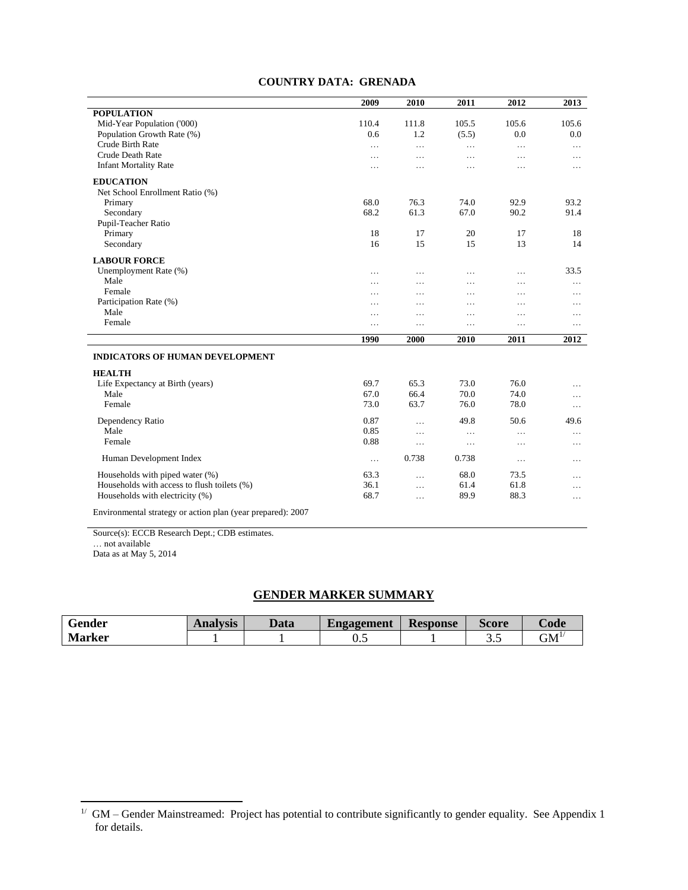### **COUNTRY DATA: GRENADA**

|                                                             | 2009      | 2010     | 2011     | 2012     | 2013     |
|-------------------------------------------------------------|-----------|----------|----------|----------|----------|
| <b>POPULATION</b>                                           |           |          |          |          |          |
| Mid-Year Population ('000)                                  | 110.4     | 111.8    | 105.5    | 105.6    | 105.6    |
| Population Growth Rate (%)                                  | 0.6       | 1.2      | (5.5)    | 0.0      | 0.0      |
| Crude Birth Rate                                            | $\cdots$  | $\cdots$ | $\cdots$ | $\cdots$ | $\cdots$ |
| Crude Death Rate                                            | .         | .        | .        | .        | $\cdots$ |
| <b>Infant Mortality Rate</b>                                | .         | .        | .        | .        | $\cdots$ |
| <b>EDUCATION</b>                                            |           |          |          |          |          |
| Net School Enrollment Ratio (%)                             |           |          |          |          |          |
| Primary                                                     | 68.0      | 76.3     | 74.0     | 92.9     | 93.2     |
| Secondary                                                   | 68.2      | 61.3     | 67.0     | 90.2     | 91.4     |
| Pupil-Teacher Ratio                                         |           |          |          |          |          |
| Primary                                                     | 18        | 17       | 20       | 17       | 18       |
| Secondary                                                   | 16        | 15       | 15       | 13       | 14       |
| <b>LABOUR FORCE</b>                                         |           |          |          |          |          |
| Unemployment Rate (%)                                       | $\ddotsc$ | .        | .        | .        | 33.5     |
| Male                                                        | .         | $\cdots$ | .        | .        | $\cdots$ |
| Female                                                      | .         | $\cdots$ | $\cdots$ | .        | $\cdots$ |
| Participation Rate (%)                                      | .         | $\cdots$ | $\cdots$ | $\cdots$ | $\cdots$ |
| Male                                                        | .         | .        | .        | .        | $\cdots$ |
| Female                                                      | $\cdots$  | .        | $\cdots$ | .        | $\cdots$ |
|                                                             | 1990      | 2000     | 2010     | 2011     | 2012     |
|                                                             |           |          |          |          |          |
| <b>INDICATORS OF HUMAN DEVELOPMENT</b>                      |           |          |          |          |          |
| <b>HEALTH</b>                                               |           |          |          |          |          |
| Life Expectancy at Birth (years)                            | 69.7      | 65.3     | 73.0     | 76.0     | $\cdots$ |
| Male                                                        | 67.0      | 66.4     | 70.0     | 74.0     | $\cdots$ |
| Female                                                      | 73.0      | 63.7     | 76.0     | 78.0     | $\cdots$ |
| Dependency Ratio                                            | 0.87      | .        | 49.8     | 50.6     | 49.6     |
| Male                                                        | 0.85      | $\cdots$ | $\cdots$ | $\cdots$ | $\cdots$ |
| Female                                                      | 0.88      | $\cdots$ | $\cdots$ | .        | $\cdots$ |
| Human Development Index                                     | $\cdots$  | 0.738    | 0.738    | $\cdots$ | $\cdots$ |
| Households with piped water (%)                             | 63.3      | $\cdots$ | 68.0     | 73.5     | $\cdots$ |
| Households with access to flush toilets (%)                 | 36.1      | $\cdots$ | 61.4     | 61.8     | .        |
| Households with electricity (%)                             | 68.7      | $\cdots$ | 89.9     | 88.3     | $\cdots$ |
| Environmental strategy or action plan (year prepared): 2007 |           |          |          |          |          |

Source(s): ECCB Research Dept.; CDB estimates. … not available Data as at May 5, 2014

# **GENDER MARKER SUMMARY**

| Gender        | Analvsis | Data | Engagement | <b>Response</b> | $\sim$<br>Score | Code                       |
|---------------|----------|------|------------|-----------------|-----------------|----------------------------|
| <b>Marker</b> |          |      | ∪.J        |                 | ິ∙∙             | $\mathrm{GM}^{\mathrm{l}}$ |

<sup>&</sup>lt;sup>1/</sup> GM – Gender Mainstreamed: Project has potential to contribute significantly to gender equality. See Appendix 1 for details.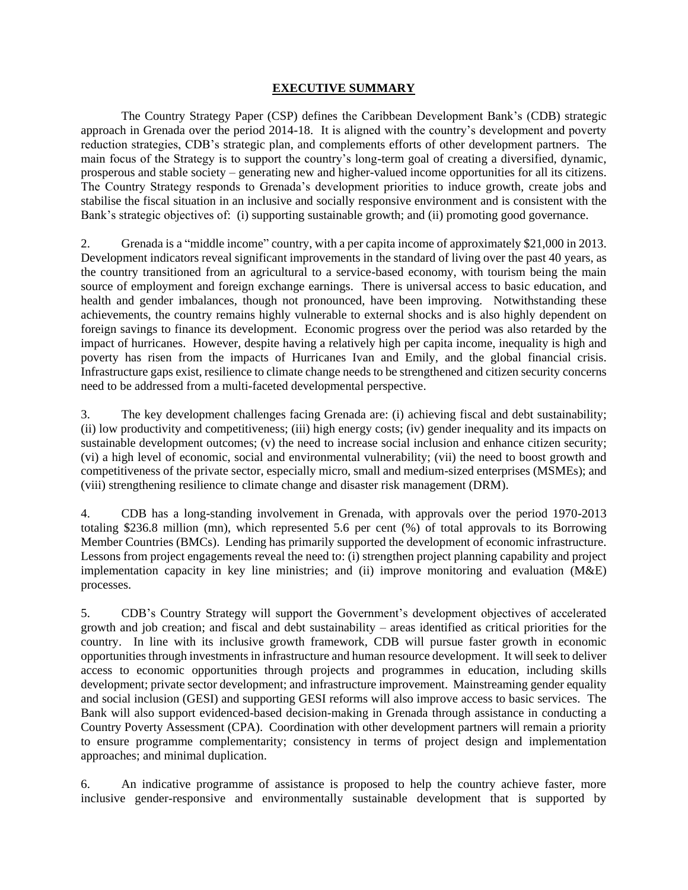#### **EXECUTIVE SUMMARY**

The Country Strategy Paper (CSP) defines the Caribbean Development Bank's (CDB) strategic approach in Grenada over the period 2014-18. It is aligned with the country's development and poverty reduction strategies, CDB's strategic plan, and complements efforts of other development partners. The main focus of the Strategy is to support the country's long-term goal of creating a diversified, dynamic, prosperous and stable society – generating new and higher-valued income opportunities for all its citizens. The Country Strategy responds to Grenada's development priorities to induce growth, create jobs and stabilise the fiscal situation in an inclusive and socially responsive environment and is consistent with the Bank's strategic objectives of: (i) supporting sustainable growth; and (ii) promoting good governance.

2. Grenada is a "middle income" country, with a per capita income of approximately \$21,000 in 2013. Development indicators reveal significant improvements in the standard of living over the past 40 years, as the country transitioned from an agricultural to a service-based economy, with tourism being the main source of employment and foreign exchange earnings. There is universal access to basic education, and health and gender imbalances, though not pronounced, have been improving. Notwithstanding these achievements, the country remains highly vulnerable to external shocks and is also highly dependent on foreign savings to finance its development. Economic progress over the period was also retarded by the impact of hurricanes. However, despite having a relatively high per capita income, inequality is high and poverty has risen from the impacts of Hurricanes Ivan and Emily, and the global financial crisis. Infrastructure gaps exist, resilience to climate change needs to be strengthened and citizen security concerns need to be addressed from a multi-faceted developmental perspective.

3. The key development challenges facing Grenada are: (i) achieving fiscal and debt sustainability; (ii) low productivity and competitiveness; (iii) high energy costs; (iv) gender inequality and its impacts on sustainable development outcomes; (v) the need to increase social inclusion and enhance citizen security; (vi) a high level of economic, social and environmental vulnerability; (vii) the need to boost growth and competitiveness of the private sector, especially micro, small and medium-sized enterprises (MSMEs); and (viii) strengthening resilience to climate change and disaster risk management (DRM).

4. CDB has a long-standing involvement in Grenada, with approvals over the period 1970-2013 totaling \$236.8 million (mn), which represented 5.6 per cent (%) of total approvals to its Borrowing Member Countries (BMCs). Lending has primarily supported the development of economic infrastructure. Lessons from project engagements reveal the need to: (i) strengthen project planning capability and project implementation capacity in key line ministries; and (ii) improve monitoring and evaluation (M&E) processes.

5. CDB's Country Strategy will support the Government's development objectives of accelerated growth and job creation; and fiscal and debt sustainability – areas identified as critical priorities for the country. In line with its inclusive growth framework, CDB will pursue faster growth in economic opportunities through investments in infrastructure and human resource development. It will seek to deliver access to economic opportunities through projects and programmes in education, including skills development; private sector development; and infrastructure improvement. Mainstreaming gender equality and social inclusion (GESI) and supporting GESI reforms will also improve access to basic services. The Bank will also support evidenced-based decision-making in Grenada through assistance in conducting a Country Poverty Assessment (CPA). Coordination with other development partners will remain a priority to ensure programme complementarity; consistency in terms of project design and implementation approaches; and minimal duplication.

6. An indicative programme of assistance is proposed to help the country achieve faster, more inclusive gender-responsive and environmentally sustainable development that is supported by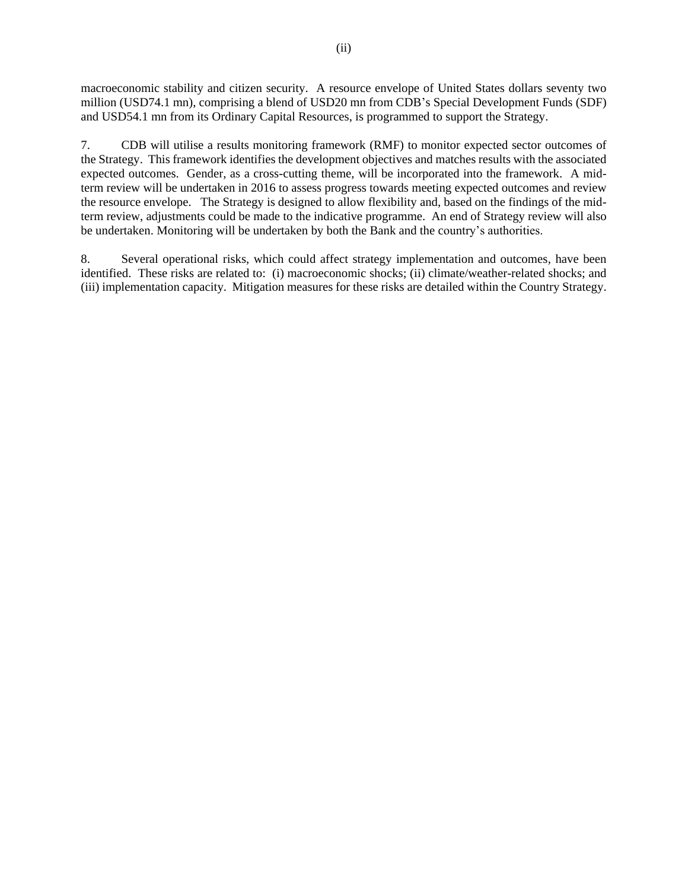macroeconomic stability and citizen security. A resource envelope of United States dollars seventy two million (USD74.1 mn), comprising a blend of USD20 mn from CDB's Special Development Funds (SDF) and USD54.1 mn from its Ordinary Capital Resources, is programmed to support the Strategy.

7. CDB will utilise a results monitoring framework (RMF) to monitor expected sector outcomes of the Strategy. This framework identifies the development objectives and matches results with the associated expected outcomes. Gender, as a cross-cutting theme, will be incorporated into the framework. A midterm review will be undertaken in 2016 to assess progress towards meeting expected outcomes and review the resource envelope. The Strategy is designed to allow flexibility and, based on the findings of the midterm review, adjustments could be made to the indicative programme. An end of Strategy review will also be undertaken. Monitoring will be undertaken by both the Bank and the country's authorities.

8. Several operational risks, which could affect strategy implementation and outcomes, have been identified. These risks are related to: (i) macroeconomic shocks; (ii) climate/weather-related shocks; and (iii) implementation capacity. Mitigation measures for these risks are detailed within the Country Strategy.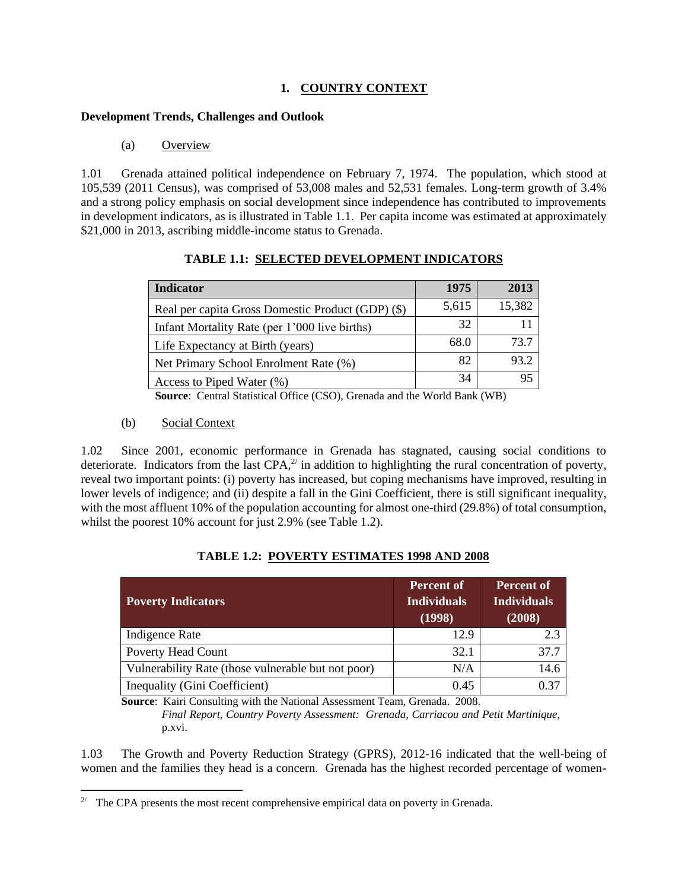### **1. COUNTRY CONTEXT**

### **Development Trends, Challenges and Outlook**

### (a) Overview

1.01 Grenada attained political independence on February 7, 1974. The population, which stood at 105,539 (2011 Census), was comprised of 53,008 males and 52,531 females. Long-term growth of 3.4% and a strong policy emphasis on social development since independence has contributed to improvements in development indicators, as is illustrated in Table 1.1. Per capita income was estimated at approximately \$21,000 in 2013, ascribing middle-income status to Grenada.

| <b>Indicator</b>                                  | 1975  | 2013   |
|---------------------------------------------------|-------|--------|
| Real per capita Gross Domestic Product (GDP) (\$) | 5,615 | 15,382 |
| Infant Mortality Rate (per 1'000 live births)     | 32    |        |
| Life Expectancy at Birth (years)                  | 68.0  | 73.7   |
| Net Primary School Enrolment Rate (%)             | 82    | 93.2   |
| Access to Piped Water (%)                         | 34    | 95     |
|                                                   |       |        |

### **TABLE 1.1: SELECTED DEVELOPMENT INDICATORS**

**Source**: Central Statistical Office (CSO), Grenada and the World Bank (WB)

(b) Social Context

 $\overline{\phantom{a}}$ 

1.02 Since 2001, economic performance in Grenada has stagnated, causing social conditions to deteriorate. Indicators from the last CPA, $2^{\prime}$  in addition to highlighting the rural concentration of poverty, reveal two important points: (i) poverty has increased, but coping mechanisms have improved, resulting in lower levels of indigence; and (ii) despite a fall in the Gini Coefficient, there is still significant inequality, with the most affluent 10% of the population accounting for almost one-third (29.8%) of total consumption, whilst the poorest 10% account for just 2.9% (see Table 1.2).

# **TABLE 1.2: POVERTY ESTIMATES 1998 AND 2008**

| <b>Poverty Indicators</b>                          | <b>Percent of</b><br><b>Individuals</b><br>(1998) | <b>Percent of</b><br><b>Individuals</b><br>(2008) |
|----------------------------------------------------|---------------------------------------------------|---------------------------------------------------|
| Indigence Rate                                     | 12.9                                              | 2.3                                               |
| Poverty Head Count                                 | 32.1                                              | 37 7                                              |
| Vulnerability Rate (those vulnerable but not poor) | N/A                                               | 14.6                                              |
| Inequality (Gini Coefficient)                      | 0.45                                              | በ 37                                              |

**Source**: Kairi Consulting with the National Assessment Team, Grenada. 2008. *Final Report, Country Poverty Assessment: Grenada, Carriacou and Petit Martinique*, p.xvi.

1.03 The Growth and Poverty Reduction Strategy (GPRS), 2012-16 indicated that the well-being of women and the families they head is a concern. Grenada has the highest recorded percentage of women-

<sup>&</sup>lt;sup>2/</sup> The CPA presents the most recent comprehensive empirical data on poverty in Grenada.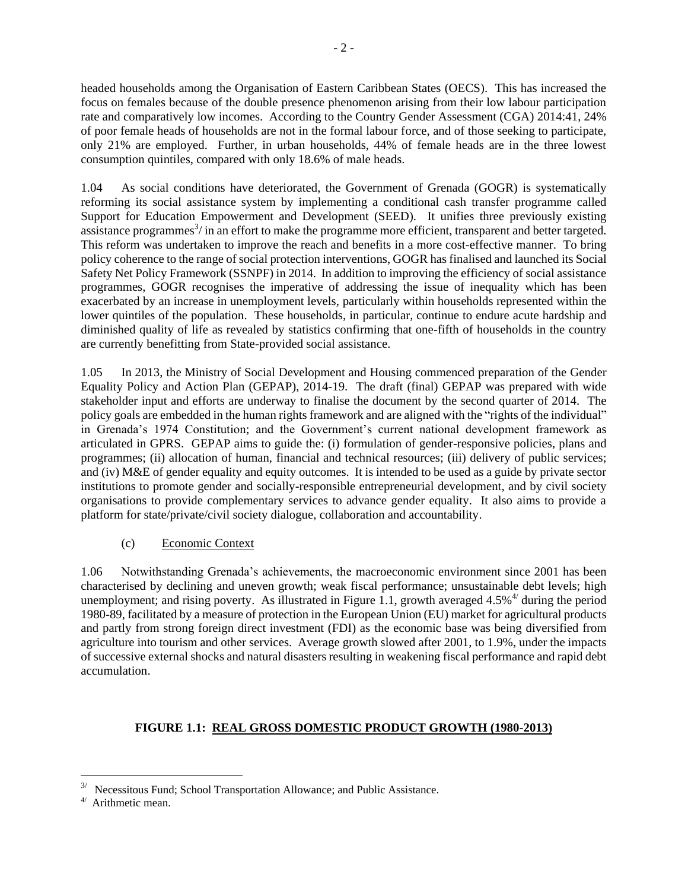headed households among the Organisation of Eastern Caribbean States (OECS). This has increased the focus on females because of the double presence phenomenon arising from their low labour participation rate and comparatively low incomes. According to the Country Gender Assessment (CGA) 2014:41, 24% of poor female heads of households are not in the formal labour force, and of those seeking to participate, only 21% are employed. Further, in urban households, 44% of female heads are in the three lowest consumption quintiles, compared with only 18.6% of male heads.

1.04 As social conditions have deteriorated, the Government of Grenada (GOGR) is systematically reforming its social assistance system by implementing a conditional cash transfer programme called Support for Education Empowerment and Development (SEED). It unifies three previously existing assistance programmes<sup>3</sup>/ in an effort to make the programme more efficient, transparent and better targeted. This reform was undertaken to improve the reach and benefits in a more cost-effective manner. To bring policy coherence to the range of social protection interventions, GOGR has finalised and launched its Social Safety Net Policy Framework (SSNPF) in 2014. In addition to improving the efficiency of social assistance programmes, GOGR recognises the imperative of addressing the issue of inequality which has been exacerbated by an increase in unemployment levels, particularly within households represented within the lower quintiles of the population. These households, in particular, continue to endure acute hardship and diminished quality of life as revealed by statistics confirming that one-fifth of households in the country are currently benefitting from State-provided social assistance.

1.05 In 2013, the Ministry of Social Development and Housing commenced preparation of the Gender Equality Policy and Action Plan (GEPAP), 2014-19. The draft (final) GEPAP was prepared with wide stakeholder input and efforts are underway to finalise the document by the second quarter of 2014. The policy goals are embedded in the human rights framework and are aligned with the "rights of the individual" in Grenada's 1974 Constitution; and the Government's current national development framework as articulated in GPRS. GEPAP aims to guide the: (i) formulation of gender-responsive policies, plans and programmes; (ii) allocation of human, financial and technical resources; (iii) delivery of public services; and (iv) M&E of gender equality and equity outcomes. It is intended to be used as a guide by private sector institutions to promote gender and socially-responsible entrepreneurial development, and by civil society organisations to provide complementary services to advance gender equality. It also aims to provide a platform for state/private/civil society dialogue, collaboration and accountability.

# (c) Economic Context

1.06 Notwithstanding Grenada's achievements, the macroeconomic environment since 2001 has been characterised by declining and uneven growth; weak fiscal performance; unsustainable debt levels; high unemployment; and rising poverty. As illustrated in Figure 1.1, growth averaged  $4.5\%$ <sup>4/</sup> during the period 1980-89, facilitated by a measure of protection in the European Union (EU) market for agricultural products and partly from strong foreign direct investment (FDI) as the economic base was being diversified from agriculture into tourism and other services. Average growth slowed after 2001, to 1.9%, under the impacts of successive external shocks and natural disasters resulting in weakening fiscal performance and rapid debt accumulation.

# **FIGURE 1.1: REAL GROSS DOMESTIC PRODUCT GROWTH (1980-2013)**

 $\overline{a}$ 

<sup>3/</sup> Necessitous Fund; School Transportation Allowance; and Public Assistance.

<sup>4/</sup> Arithmetic mean.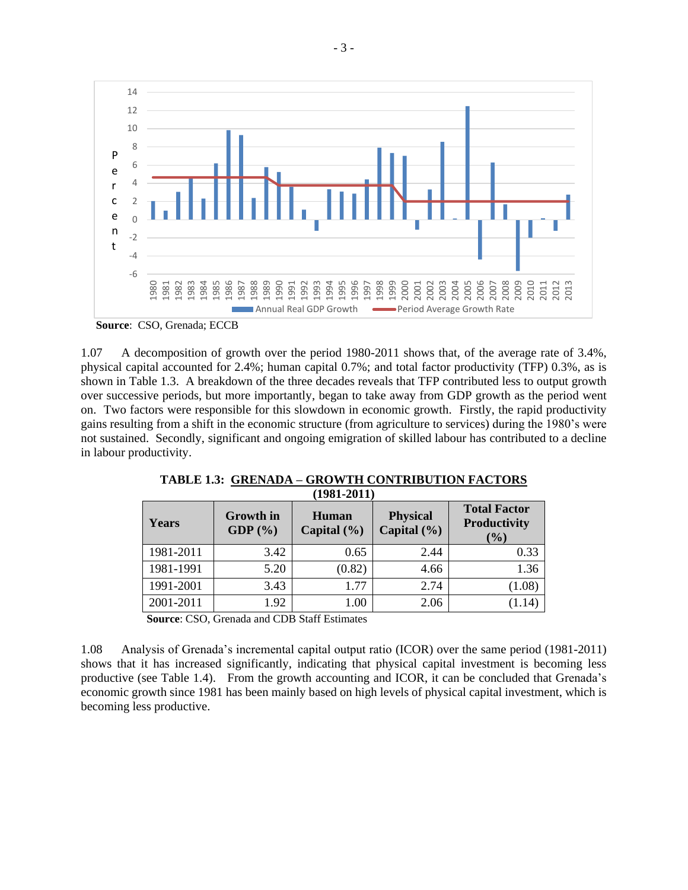

**Source**: CSO, Grenada; ECCB

1.07 A decomposition of growth over the period 1980-2011 shows that, of the average rate of 3.4%, physical capital accounted for 2.4%; human capital 0.7%; and total factor productivity (TFP) 0.3%, as is shown in Table 1.3. A breakdown of the three decades reveals that TFP contributed less to output growth over successive periods, but more importantly, began to take away from GDP growth as the period went on. Two factors were responsible for this slowdown in economic growth. Firstly, the rapid productivity gains resulting from a shift in the economic structure (from agriculture to services) during the 1980's were not sustained. Secondly, significant and ongoing emigration of skilled labour has contributed to a decline in labour productivity.

| Years     | <b>Growth</b> in<br>GDP $(\%)$ | <b>Human</b><br>Capital $(\% )$ | <b>Physical</b><br>Capital $(\% )$ | <b>Total Factor</b><br><b>Productivity</b><br>$(\%)$ |
|-----------|--------------------------------|---------------------------------|------------------------------------|------------------------------------------------------|
| 1981-2011 | 3.42                           | 0.65                            | 2.44                               | 0.33                                                 |
| 1981-1991 | 5.20                           | (0.82)                          | 4.66                               | 1.36                                                 |
| 1991-2001 | 3.43                           | 1.77                            | 2.74                               | (1.08)                                               |
| 2001-2011 | 1.92                           | 1.00                            | 2.06                               | (1.14)                                               |

**TABLE 1.3: GRENADA – GROWTH CONTRIBUTION FACTORS (1981-2011)**

 **Source**: CSO, Grenada and CDB Staff Estimates

1.08 Analysis of Grenada's incremental capital output ratio (ICOR) over the same period (1981-2011) shows that it has increased significantly, indicating that physical capital investment is becoming less productive (see Table 1.4). From the growth accounting and ICOR, it can be concluded that Grenada's economic growth since 1981 has been mainly based on high levels of physical capital investment, which is becoming less productive.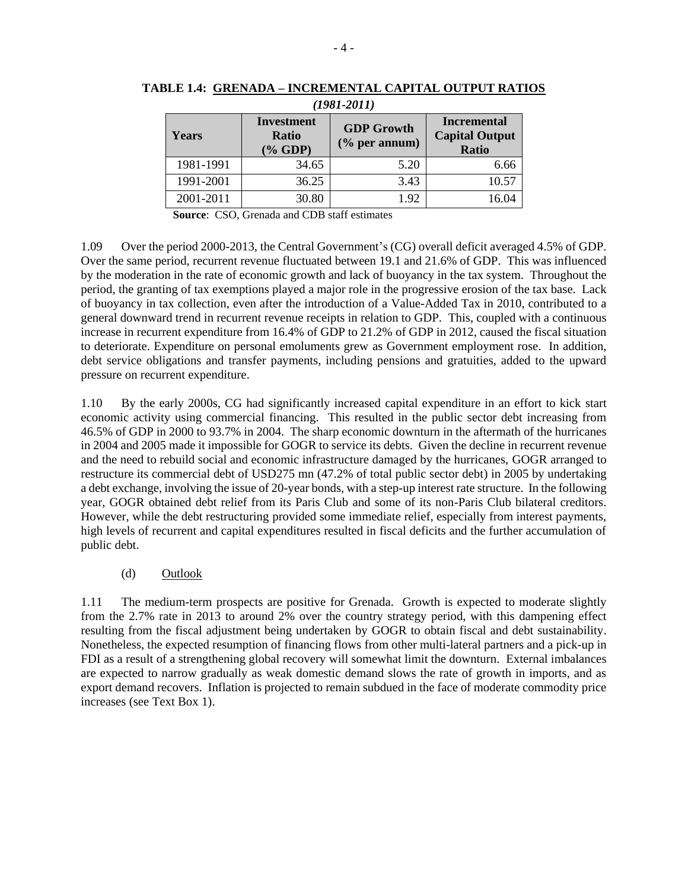| $-20 - 20 - 21$ |                                                                   |                                       |                                                             |  |  |  |  |
|-----------------|-------------------------------------------------------------------|---------------------------------------|-------------------------------------------------------------|--|--|--|--|
| <b>Years</b>    | <b>Investment</b><br><b>Ratio</b><br>$\left(\%\text{ GDP}\right)$ | <b>GDP Growth</b><br>$(\%$ per annum) | <b>Incremental</b><br><b>Capital Output</b><br><b>Ratio</b> |  |  |  |  |
| 1981-1991       | 34.65                                                             | 5.20                                  | 6.66                                                        |  |  |  |  |
| 1991-2001       | 36.25                                                             | 3.43                                  | 10.57                                                       |  |  |  |  |
| 2001-2011       | 30.80                                                             | 1.92                                  | 16.04                                                       |  |  |  |  |

**TABLE 1.4: GRENADA – INCREMENTAL CAPITAL OUTPUT RATIOS** *(1981-2011)*

 **Source**: CSO, Grenada and CDB staff estimates

1.09 Over the period 2000-2013, the Central Government's (CG) overall deficit averaged 4.5% of GDP. Over the same period, recurrent revenue fluctuated between 19.1 and 21.6% of GDP. This was influenced by the moderation in the rate of economic growth and lack of buoyancy in the tax system. Throughout the period, the granting of tax exemptions played a major role in the progressive erosion of the tax base. Lack of buoyancy in tax collection, even after the introduction of a Value-Added Tax in 2010, contributed to a general downward trend in recurrent revenue receipts in relation to GDP. This, coupled with a continuous increase in recurrent expenditure from 16.4% of GDP to 21.2% of GDP in 2012, caused the fiscal situation to deteriorate. Expenditure on personal emoluments grew as Government employment rose. In addition, debt service obligations and transfer payments, including pensions and gratuities, added to the upward pressure on recurrent expenditure.

1.10 By the early 2000s, CG had significantly increased capital expenditure in an effort to kick start economic activity using commercial financing. This resulted in the public sector debt increasing from 46.5% of GDP in 2000 to 93.7% in 2004. The sharp economic downturn in the aftermath of the hurricanes in 2004 and 2005 made it impossible for GOGR to service its debts. Given the decline in recurrent revenue and the need to rebuild social and economic infrastructure damaged by the hurricanes, GOGR arranged to restructure its commercial debt of USD275 mn (47.2% of total public sector debt) in 2005 by undertaking a debt exchange, involving the issue of 20-year bonds, with a step-up interest rate structure. In the following year, GOGR obtained debt relief from its Paris Club and some of its non-Paris Club bilateral creditors. However, while the debt restructuring provided some immediate relief, especially from interest payments, high levels of recurrent and capital expenditures resulted in fiscal deficits and the further accumulation of public debt.

(d) Outlook

1.11 The medium-term prospects are positive for Grenada. Growth is expected to moderate slightly from the 2.7% rate in 2013 to around 2% over the country strategy period, with this dampening effect resulting from the fiscal adjustment being undertaken by GOGR to obtain fiscal and debt sustainability. Nonetheless, the expected resumption of financing flows from other multi-lateral partners and a pick-up in FDI as a result of a strengthening global recovery will somewhat limit the downturn. External imbalances are expected to narrow gradually as weak domestic demand slows the rate of growth in imports, and as export demand recovers. Inflation is projected to remain subdued in the face of moderate commodity price increases (see Text Box 1).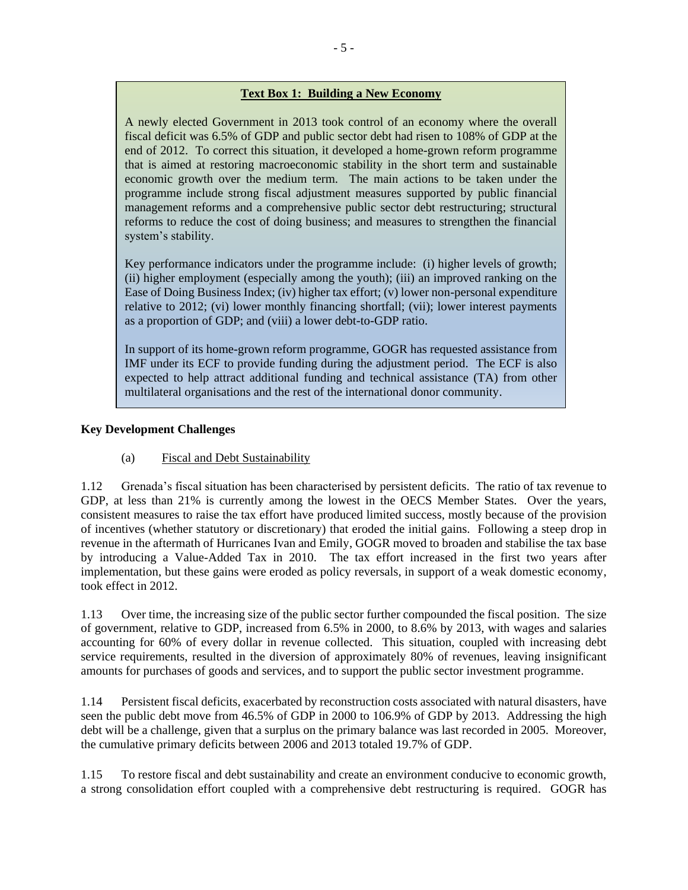### **Text Box 1: Building a New Economy**

A newly elected Government in 2013 took control of an economy where the overall fiscal deficit was 6.5% of GDP and public sector debt had risen to 108% of GDP at the end of 2012. To correct this situation, it developed a home-grown reform programme that is aimed at restoring macroeconomic stability in the short term and sustainable economic growth over the medium term. The main actions to be taken under the programme include strong fiscal adjustment measures supported by public financial management reforms and a comprehensive public sector debt restructuring; structural reforms to reduce the cost of doing business; and measures to strengthen the financial system's stability.

Key performance indicators under the programme include: (i) higher levels of growth; (ii) higher employment (especially among the youth); (iii) an improved ranking on the Ease of Doing Business Index; (iv) higher tax effort; (v) lower non-personal expenditure relative to 2012; (vi) lower monthly financing shortfall; (vii); lower interest payments as a proportion of GDP; and (viii) a lower debt-to-GDP ratio.

In support of its home-grown reform programme, GOGR has requested assistance from IMF under its ECF to provide funding during the adjustment period. The ECF is also expected to help attract additional funding and technical assistance (TA) from other multilateral organisations and the rest of the international donor community.

### **Key Development Challenges**

(a) Fiscal and Debt Sustainability

1.12 Grenada's fiscal situation has been characterised by persistent deficits. The ratio of tax revenue to GDP, at less than 21% is currently among the lowest in the OECS Member States. Over the years, consistent measures to raise the tax effort have produced limited success, mostly because of the provision of incentives (whether statutory or discretionary) that eroded the initial gains. Following a steep drop in revenue in the aftermath of Hurricanes Ivan and Emily, GOGR moved to broaden and stabilise the tax base by introducing a Value-Added Tax in 2010. The tax effort increased in the first two years after implementation, but these gains were eroded as policy reversals, in support of a weak domestic economy, took effect in 2012.

1.13 Over time, the increasing size of the public sector further compounded the fiscal position. The size of government, relative to GDP, increased from 6.5% in 2000, to 8.6% by 2013, with wages and salaries accounting for 60% of every dollar in revenue collected. This situation, coupled with increasing debt service requirements, resulted in the diversion of approximately 80% of revenues, leaving insignificant amounts for purchases of goods and services, and to support the public sector investment programme.

1.14 Persistent fiscal deficits, exacerbated by reconstruction costs associated with natural disasters, have seen the public debt move from 46.5% of GDP in 2000 to 106.9% of GDP by 2013. Addressing the high debt will be a challenge, given that a surplus on the primary balance was last recorded in 2005. Moreover, the cumulative primary deficits between 2006 and 2013 totaled 19.7% of GDP.

1.15 To restore fiscal and debt sustainability and create an environment conducive to economic growth, a strong consolidation effort coupled with a comprehensive debt restructuring is required. GOGR has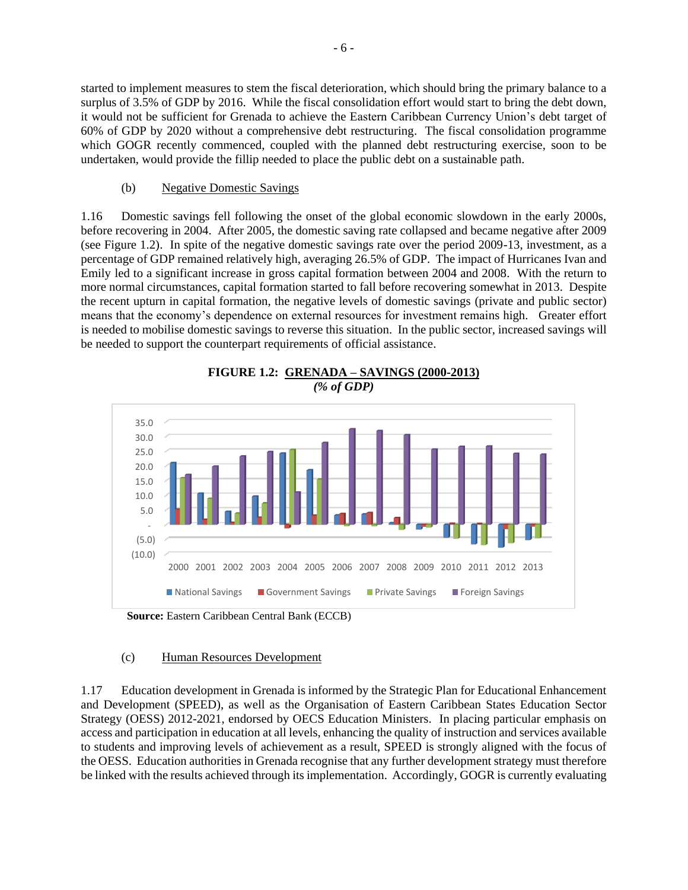started to implement measures to stem the fiscal deterioration, which should bring the primary balance to a surplus of 3.5% of GDP by 2016. While the fiscal consolidation effort would start to bring the debt down, it would not be sufficient for Grenada to achieve the Eastern Caribbean Currency Union's debt target of 60% of GDP by 2020 without a comprehensive debt restructuring. The fiscal consolidation programme which GOGR recently commenced, coupled with the planned debt restructuring exercise, soon to be undertaken, would provide the fillip needed to place the public debt on a sustainable path.

### (b) Negative Domestic Savings

1.16 Domestic savings fell following the onset of the global economic slowdown in the early 2000s, before recovering in 2004. After 2005, the domestic saving rate collapsed and became negative after 2009 (see Figure 1.2). In spite of the negative domestic savings rate over the period 2009-13, investment, as a percentage of GDP remained relatively high, averaging 26.5% of GDP. The impact of Hurricanes Ivan and Emily led to a significant increase in gross capital formation between 2004 and 2008. With the return to more normal circumstances, capital formation started to fall before recovering somewhat in 2013. Despite the recent upturn in capital formation, the negative levels of domestic savings (private and public sector) means that the economy's dependence on external resources for investment remains high. Greater effort is needed to mobilise domestic savings to reverse this situation. In the public sector, increased savings will be needed to support the counterpart requirements of official assistance.



**FIGURE 1.2: GRENADA – SAVINGS (2000-2013)** *(% of GDP)*

**Source:** Eastern Caribbean Central Bank (ECCB)

# (c) Human Resources Development

1.17 Education development in Grenada is informed by the Strategic Plan for Educational Enhancement and Development (SPEED), as well as the Organisation of Eastern Caribbean States Education Sector Strategy (OESS) 2012-2021, endorsed by OECS Education Ministers. In placing particular emphasis on access and participation in education at all levels, enhancing the quality of instruction and services available to students and improving levels of achievement as a result, SPEED is strongly aligned with the focus of the OESS. Education authorities in Grenada recognise that any further development strategy must therefore be linked with the results achieved through its implementation. Accordingly, GOGR is currently evaluating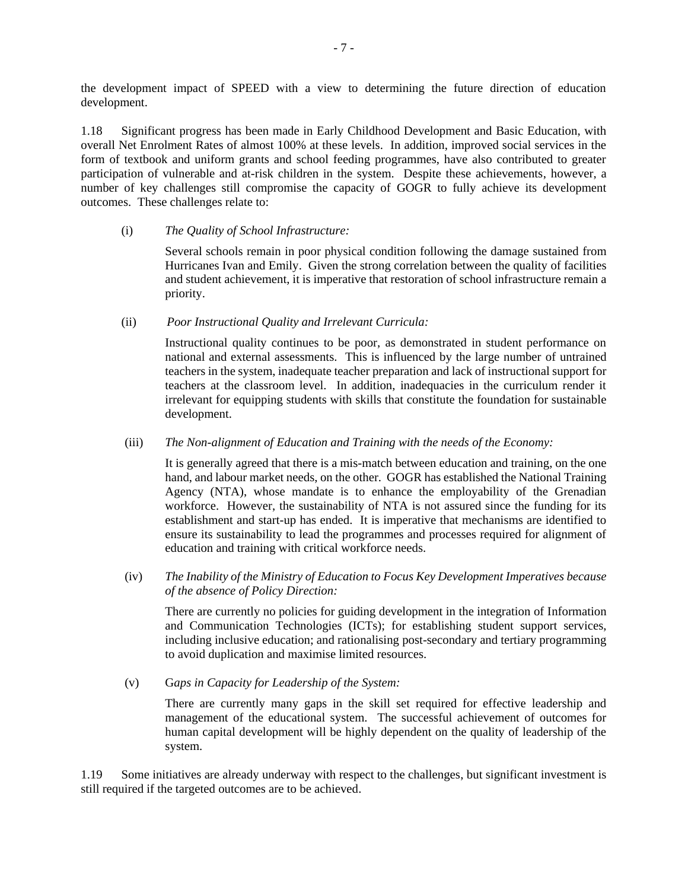the development impact of SPEED with a view to determining the future direction of education development.

1.18 Significant progress has been made in Early Childhood Development and Basic Education, with overall Net Enrolment Rates of almost 100% at these levels. In addition, improved social services in the form of textbook and uniform grants and school feeding programmes, have also contributed to greater participation of vulnerable and at-risk children in the system. Despite these achievements, however, a number of key challenges still compromise the capacity of GOGR to fully achieve its development outcomes. These challenges relate to:

#### (i) *The Quality of School Infrastructure:*

Several schools remain in poor physical condition following the damage sustained from Hurricanes Ivan and Emily. Given the strong correlation between the quality of facilities and student achievement, it is imperative that restoration of school infrastructure remain a priority.

(ii) *Poor Instructional Quality and Irrelevant Curricula:*

Instructional quality continues to be poor, as demonstrated in student performance on national and external assessments. This is influenced by the large number of untrained teachers in the system, inadequate teacher preparation and lack of instructional support for teachers at the classroom level. In addition, inadequacies in the curriculum render it irrelevant for equipping students with skills that constitute the foundation for sustainable development.

#### (iii) *The Non-alignment of Education and Training with the needs of the Economy:*

It is generally agreed that there is a mis-match between education and training, on the one hand, and labour market needs, on the other. GOGR has established the National Training Agency (NTA), whose mandate is to enhance the employability of the Grenadian workforce. However, the sustainability of NTA is not assured since the funding for its establishment and start-up has ended. It is imperative that mechanisms are identified to ensure its sustainability to lead the programmes and processes required for alignment of education and training with critical workforce needs.

### (iv) *The Inability of the Ministry of Education to Focus Key Development Imperatives because of the absence of Policy Direction:*

There are currently no policies for guiding development in the integration of Information and Communication Technologies (ICTs); for establishing student support services, including inclusive education; and rationalising post-secondary and tertiary programming to avoid duplication and maximise limited resources.

(v) G*aps in Capacity for Leadership of the System:*

There are currently many gaps in the skill set required for effective leadership and management of the educational system. The successful achievement of outcomes for human capital development will be highly dependent on the quality of leadership of the system.

1.19 Some initiatives are already underway with respect to the challenges, but significant investment is still required if the targeted outcomes are to be achieved.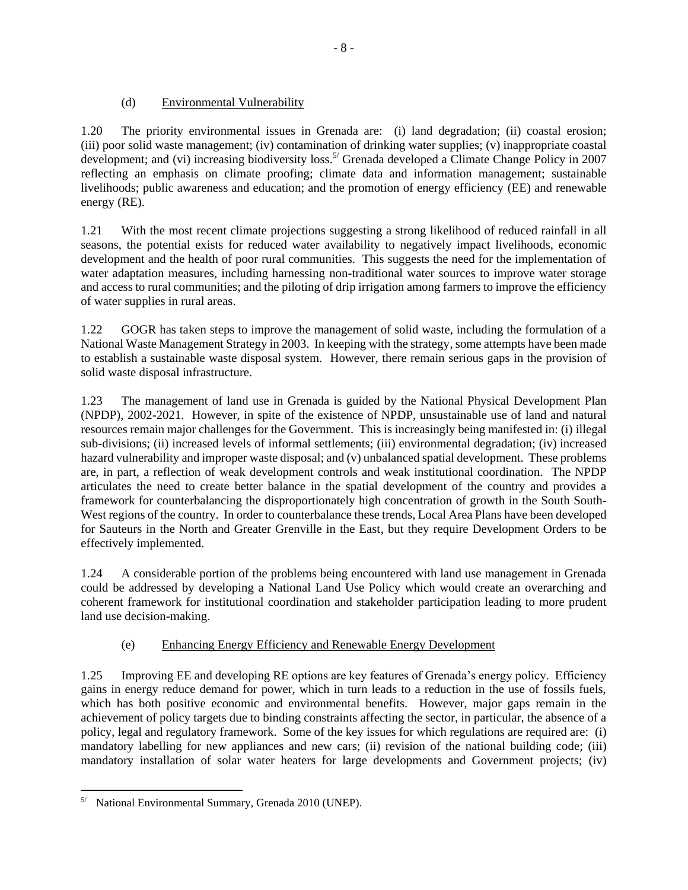# (d) Environmental Vulnerability

1.20 The priority environmental issues in Grenada are: (i) land degradation; (ii) coastal erosion; (iii) poor solid waste management; (iv) contamination of drinking water supplies; (v) inappropriate coastal development; and (vi) increasing biodiversity loss.<sup>5/</sup> Grenada developed a Climate Change Policy in 2007 reflecting an emphasis on climate proofing; climate data and information management; sustainable livelihoods; public awareness and education; and the promotion of energy efficiency (EE) and renewable energy (RE).

1.21 With the most recent climate projections suggesting a strong likelihood of reduced rainfall in all seasons, the potential exists for reduced water availability to negatively impact livelihoods, economic development and the health of poor rural communities. This suggests the need for the implementation of water adaptation measures, including harnessing non-traditional water sources to improve water storage and access to rural communities; and the piloting of drip irrigation among farmers to improve the efficiency of water supplies in rural areas.

1.22 GOGR has taken steps to improve the management of solid waste, including the formulation of a National Waste Management Strategy in 2003. In keeping with the strategy, some attempts have been made to establish a sustainable waste disposal system. However, there remain serious gaps in the provision of solid waste disposal infrastructure.

1.23 The management of land use in Grenada is guided by the National Physical Development Plan (NPDP), 2002-2021. However, in spite of the existence of NPDP, unsustainable use of land and natural resources remain major challenges for the Government. This is increasingly being manifested in: (i) illegal sub-divisions; (ii) increased levels of informal settlements; (iii) environmental degradation; (iv) increased hazard vulnerability and improper waste disposal; and (v) unbalanced spatial development. These problems are, in part, a reflection of weak development controls and weak institutional coordination. The NPDP articulates the need to create better balance in the spatial development of the country and provides a framework for counterbalancing the disproportionately high concentration of growth in the South South-West regions of the country. In order to counterbalance these trends, Local Area Plans have been developed for Sauteurs in the North and Greater Grenville in the East, but they require Development Orders to be effectively implemented.

1.24 A considerable portion of the problems being encountered with land use management in Grenada could be addressed by developing a National Land Use Policy which would create an overarching and coherent framework for institutional coordination and stakeholder participation leading to more prudent land use decision-making.

# (e) Enhancing Energy Efficiency and Renewable Energy Development

1.25 Improving EE and developing RE options are key features of Grenada's energy policy. Efficiency gains in energy reduce demand for power, which in turn leads to a reduction in the use of fossils fuels, which has both positive economic and environmental benefits. However, major gaps remain in the achievement of policy targets due to binding constraints affecting the sector, in particular, the absence of a policy, legal and regulatory framework. Some of the key issues for which regulations are required are: (i) mandatory labelling for new appliances and new cars; (ii) revision of the national building code; (iii) mandatory installation of solar water heaters for large developments and Government projects; (iv)

 $\overline{\phantom{a}}$ National Environmental Summary, Grenada 2010 (UNEP).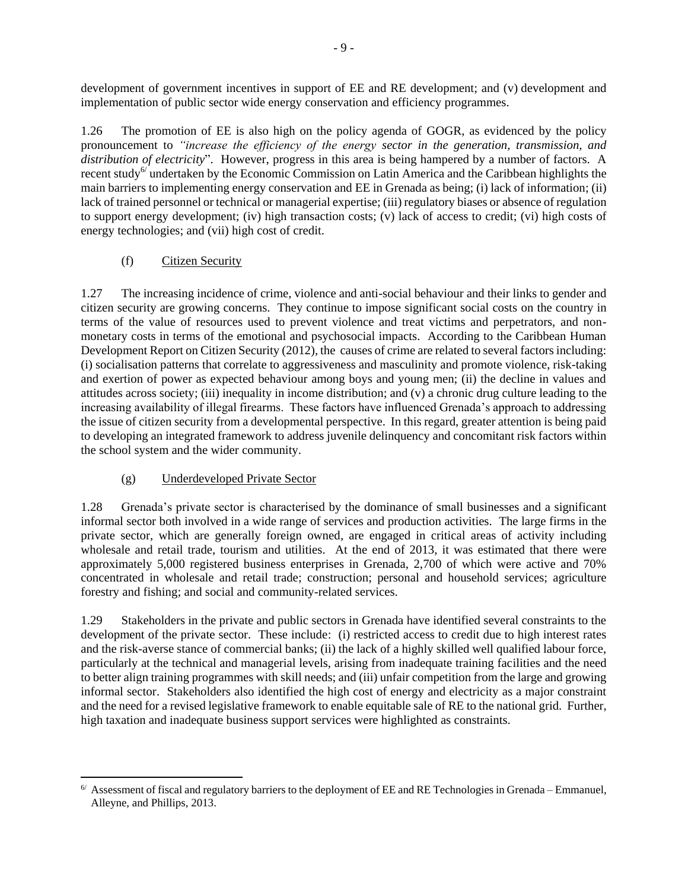development of government incentives in support of EE and RE development; and (v) development and implementation of public sector wide energy conservation and efficiency programmes.

1.26 The promotion of EE is also high on the policy agenda of GOGR, as evidenced by the policy pronouncement to *"increase the efficiency of the energy sector in the generation, transmission, and distribution of electricity*". However, progress in this area is being hampered by a number of factors. A recent study<sup>6</sup> undertaken by the Economic Commission on Latin America and the Caribbean highlights the main barriers to implementing energy conservation and EE in Grenada as being; (i) lack of information; (ii) lack of trained personnel or technical or managerial expertise; (iii) regulatory biases or absence of regulation to support energy development; (iv) high transaction costs; (v) lack of access to credit; (vi) high costs of energy technologies; and (vii) high cost of credit.

# (f) Citizen Security

1.27 The increasing incidence of crime, violence and anti-social behaviour and their links to gender and citizen security are growing concerns. They continue to impose significant social costs on the country in terms of the value of resources used to prevent violence and treat victims and perpetrators, and nonmonetary costs in terms of the emotional and psychosocial impacts. According to the Caribbean Human Development Report on Citizen Security (2012), the causes of crime are related to several factors including: (i) socialisation patterns that correlate to aggressiveness and masculinity and promote violence, risk-taking and exertion of power as expected behaviour among boys and young men; (ii) the decline in values and attitudes across society; (iii) inequality in income distribution; and (v) a chronic drug culture leading to the increasing availability of illegal firearms. These factors have influenced Grenada's approach to addressing the issue of citizen security from a developmental perspective. In this regard, greater attention is being paid to developing an integrated framework to address juvenile delinquency and concomitant risk factors within the school system and the wider community.

# (g) Underdeveloped Private Sector

1.28 Grenada's private sector is characterised by the dominance of small businesses and a significant informal sector both involved in a wide range of services and production activities. The large firms in the private sector, which are generally foreign owned, are engaged in critical areas of activity including wholesale and retail trade, tourism and utilities. At the end of 2013, it was estimated that there were approximately 5,000 registered business enterprises in Grenada, 2,700 of which were active and 70% concentrated in wholesale and retail trade; construction; personal and household services; agriculture forestry and fishing; and social and community-related services.

1.29 Stakeholders in the private and public sectors in Grenada have identified several constraints to the development of the private sector. These include: (i) restricted access to credit due to high interest rates and the risk-averse stance of commercial banks; (ii) the lack of a highly skilled well qualified labour force, particularly at the technical and managerial levels, arising from inadequate training facilities and the need to better align training programmes with skill needs; and (iii) unfair competition from the large and growing informal sector. Stakeholders also identified the high cost of energy and electricity as a major constraint and the need for a revised legislative framework to enable equitable sale of RE to the national grid. Further, high taxation and inadequate business support services were highlighted as constraints.

 $\overline{a}$ 6/ Assessment of fiscal and regulatory barriers to the deployment of EE and RE Technologies in Grenada – Emmanuel, Alleyne, and Phillips, 2013.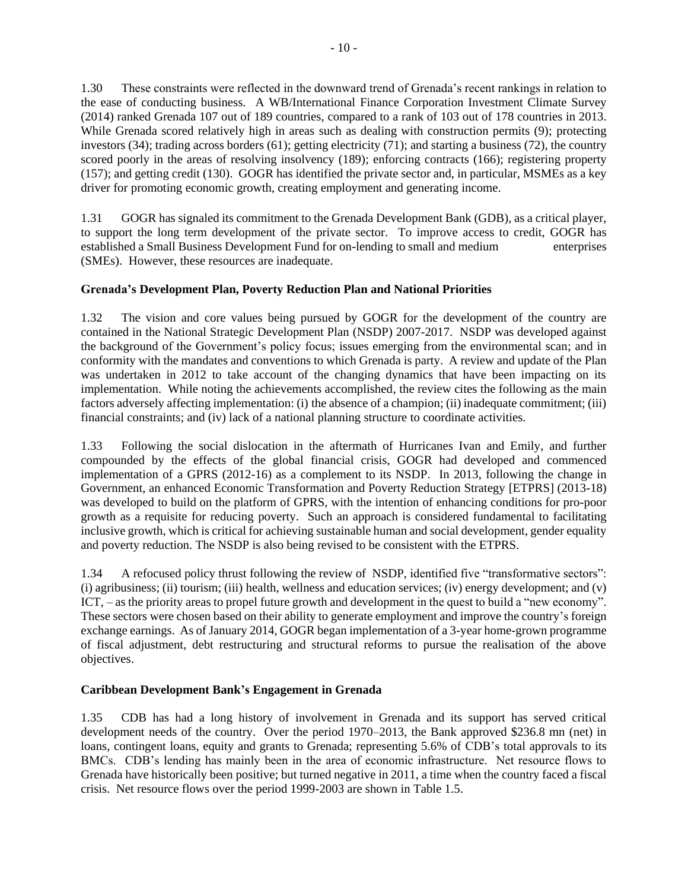1.30 These constraints were reflected in the downward trend of Grenada's recent rankings in relation to the ease of conducting business. A WB/International Finance Corporation Investment Climate Survey (2014) ranked Grenada 107 out of 189 countries, compared to a rank of 103 out of 178 countries in 2013. While Grenada scored relatively high in areas such as dealing with construction permits (9); protecting investors (34); trading across borders (61); getting electricity (71); and starting a business (72), the country scored poorly in the areas of resolving insolvency (189); enforcing contracts (166); registering property (157); and getting credit (130). GOGR has identified the private sector and, in particular, MSMEs as a key driver for promoting economic growth, creating employment and generating income.

1.31 GOGR has signaled its commitment to the Grenada Development Bank (GDB), as a critical player, to support the long term development of the private sector. To improve access to credit, GOGR has established a Small Business Development Fund for on-lending to small and medium enterprises (SMEs). However, these resources are inadequate.

### **Grenada's Development Plan, Poverty Reduction Plan and National Priorities**

1.32 The vision and core values being pursued by GOGR for the development of the country are contained in the National Strategic Development Plan (NSDP) 2007-2017. NSDP was developed against the background of the Government's policy focus; issues emerging from the environmental scan; and in conformity with the mandates and conventions to which Grenada is party. A review and update of the Plan was undertaken in 2012 to take account of the changing dynamics that have been impacting on its implementation. While noting the achievements accomplished, the review cites the following as the main factors adversely affecting implementation: (i) the absence of a champion; (ii) inadequate commitment; (iii) financial constraints; and (iv) lack of a national planning structure to coordinate activities.

1.33 Following the social dislocation in the aftermath of Hurricanes Ivan and Emily, and further compounded by the effects of the global financial crisis, GOGR had developed and commenced implementation of a GPRS (2012-16) as a complement to its NSDP. In 2013, following the change in Government, an enhanced Economic Transformation and Poverty Reduction Strategy [ETPRS] (2013-18) was developed to build on the platform of GPRS, with the intention of enhancing conditions for pro-poor growth as a requisite for reducing poverty. Such an approach is considered fundamental to facilitating inclusive growth, which is critical for achieving sustainable human and social development, gender equality and poverty reduction. The NSDP is also being revised to be consistent with the ETPRS.

1.34 A refocused policy thrust following the review of NSDP, identified five "transformative sectors": (i) agribusiness; (ii) tourism; (iii) health, wellness and education services; (iv) energy development; and (v) ICT, – as the priority areas to propel future growth and development in the quest to build a "new economy". These sectors were chosen based on their ability to generate employment and improve the country's foreign exchange earnings. As of January 2014, GOGR began implementation of a 3-year home-grown programme of fiscal adjustment, debt restructuring and structural reforms to pursue the realisation of the above objectives.

### **Caribbean Development Bank's Engagement in Grenada**

1.35 CDB has had a long history of involvement in Grenada and its support has served critical development needs of the country. Over the period 1970–2013, the Bank approved \$236.8 mn (net) in loans, contingent loans, equity and grants to Grenada; representing 5.6% of CDB's total approvals to its BMCs. CDB's lending has mainly been in the area of economic infrastructure. Net resource flows to Grenada have historically been positive; but turned negative in 2011, a time when the country faced a fiscal crisis. Net resource flows over the period 1999-2003 are shown in Table 1.5.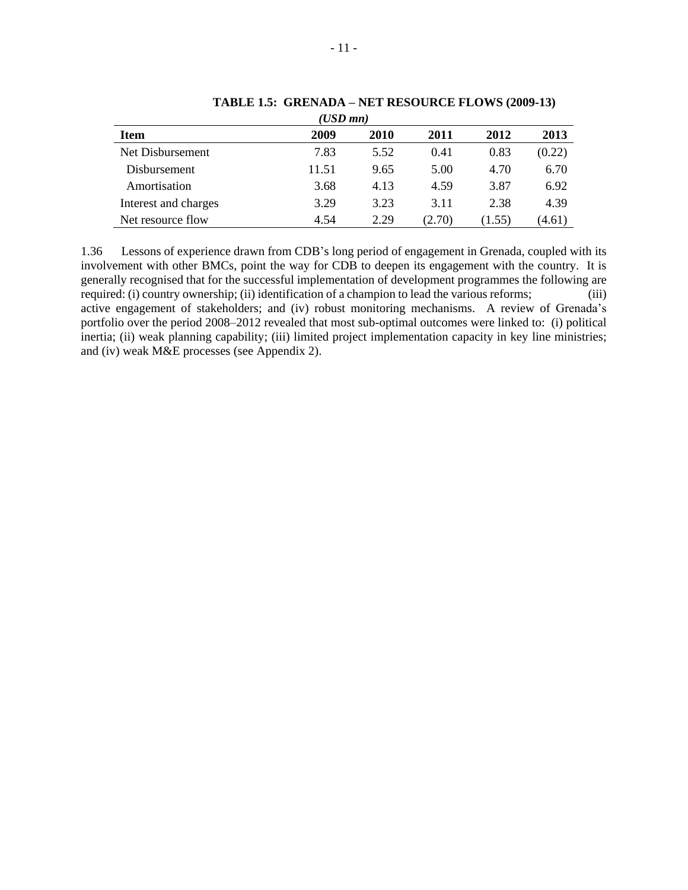|--|

| USD mn)              |       |      |        |        |        |  |  |
|----------------------|-------|------|--------|--------|--------|--|--|
| <b>Item</b>          | 2009  | 2010 | 2011   | 2012   | 2013   |  |  |
| Net Disbursement     | 7.83  | 5.52 | 0.41   | 0.83   | (0.22) |  |  |
| Disbursement         | 11.51 | 9.65 | 5.00   | 4.70   | 6.70   |  |  |
| Amortisation         | 3.68  | 4.13 | 4.59   | 3.87   | 6.92   |  |  |
| Interest and charges | 3.29  | 3.23 | 3.11   | 2.38   | 4.39   |  |  |
| Net resource flow    | 4.54  | 2.29 | (2.70) | (1.55) | (4.61) |  |  |

**TABLE 1.5: GRENADA – NET RESOURCE FLOWS (2009-13)**  $(T)$ 

1.36 Lessons of experience drawn from CDB's long period of engagement in Grenada, coupled with its involvement with other BMCs, point the way for CDB to deepen its engagement with the country. It is generally recognised that for the successful implementation of development programmes the following are required: (i) country ownership; (ii) identification of a champion to lead the various reforms; (iii) active engagement of stakeholders; and (iv) robust monitoring mechanisms. A review of Grenada's portfolio over the period 2008–2012 revealed that most sub-optimal outcomes were linked to: (i) political inertia; (ii) weak planning capability; (iii) limited project implementation capacity in key line ministries; and (iv) weak M&E processes (see Appendix 2).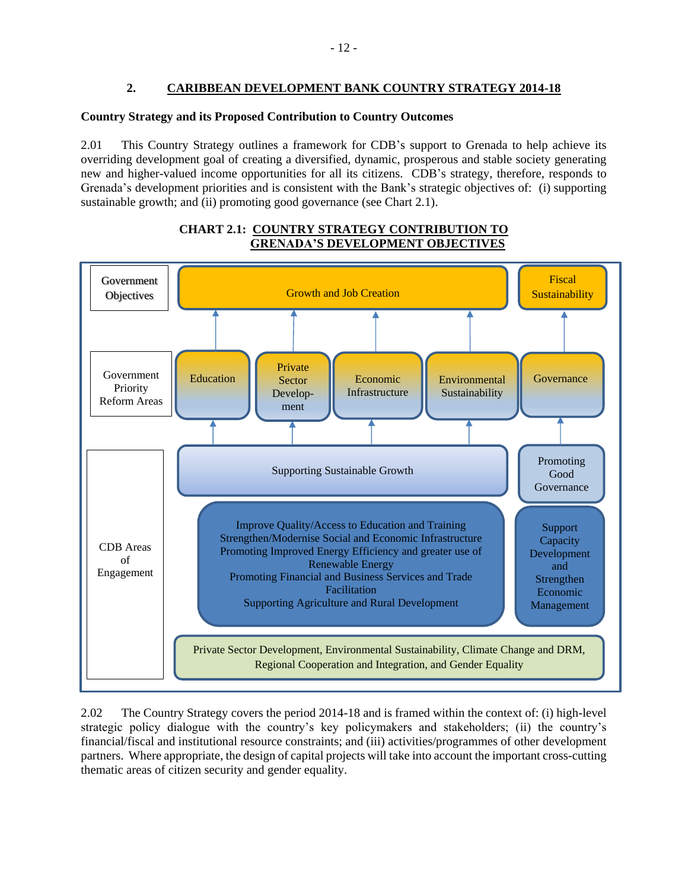## **2. CARIBBEAN DEVELOPMENT BANK COUNTRY STRATEGY 2014-18**

### **Country Strategy and its Proposed Contribution to Country Outcomes**

2.01 This Country Strategy outlines a framework for CDB's support to Grenada to help achieve its overriding development goal of creating a diversified, dynamic, prosperous and stable society generating new and higher-valued income opportunities for all its citizens. CDB's strategy, therefore, responds to Grenada's development priorities and is consistent with the Bank's strategic objectives of: (i) supporting sustainable growth; and (ii) promoting good governance (see Chart 2.1).



### **CHART 2.1: COUNTRY STRATEGY CONTRIBUTION TO GRENADA'S DEVELOPMENT OBJECTIVES**

2.02 The Country Strategy covers the period 2014-18 and is framed within the context of: (i) high-level strategic policy dialogue with the country's key policymakers and stakeholders; (ii) the country's financial/fiscal and institutional resource constraints; and (iii) activities/programmes of other development partners. Where appropriate, the design of capital projects will take into account the important cross-cutting thematic areas of citizen security and gender equality.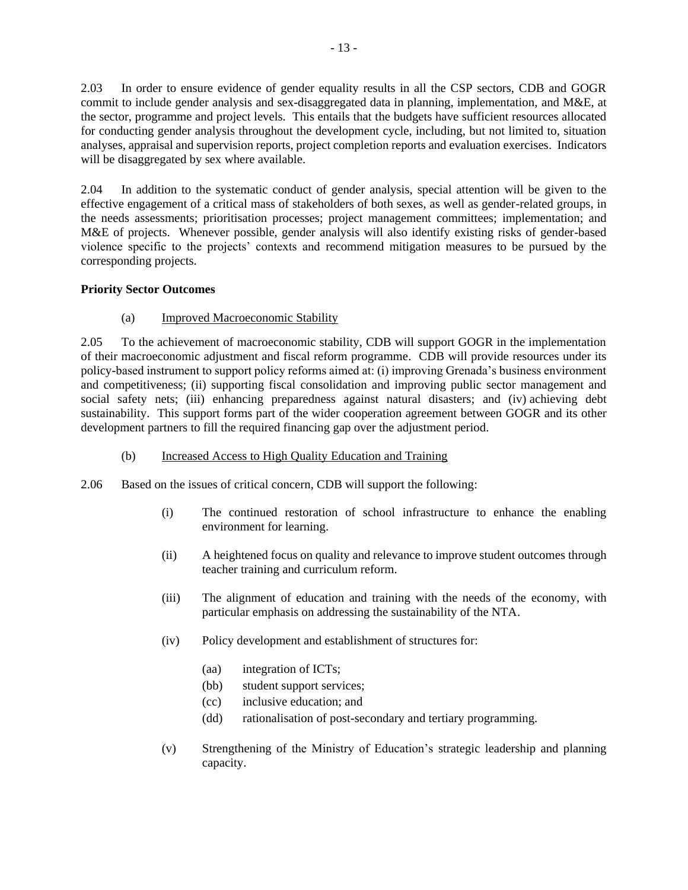2.03 In order to ensure evidence of gender equality results in all the CSP sectors, CDB and GOGR commit to include gender analysis and sex-disaggregated data in planning, implementation, and M&E, at the sector, programme and project levels. This entails that the budgets have sufficient resources allocated for conducting gender analysis throughout the development cycle, including, but not limited to, situation analyses, appraisal and supervision reports, project completion reports and evaluation exercises. Indicators will be disaggregated by sex where available.

2.04 In addition to the systematic conduct of gender analysis, special attention will be given to the effective engagement of a critical mass of stakeholders of both sexes, as well as gender-related groups, in the needs assessments; prioritisation processes; project management committees; implementation; and M&E of projects. Whenever possible, gender analysis will also identify existing risks of gender-based violence specific to the projects' contexts and recommend mitigation measures to be pursued by the corresponding projects.

### **Priority Sector Outcomes**

# (a) Improved Macroeconomic Stability

2.05 To the achievement of macroeconomic stability, CDB will support GOGR in the implementation of their macroeconomic adjustment and fiscal reform programme. CDB will provide resources under its policy-based instrument to support policy reforms aimed at: (i) improving Grenada's business environment and competitiveness; (ii) supporting fiscal consolidation and improving public sector management and social safety nets; (iii) enhancing preparedness against natural disasters; and (iv) achieving debt sustainability. This support forms part of the wider cooperation agreement between GOGR and its other development partners to fill the required financing gap over the adjustment period.

- (b) Increased Access to High Quality Education and Training
- 2.06 Based on the issues of critical concern, CDB will support the following:
	- (i) The continued restoration of school infrastructure to enhance the enabling environment for learning.
	- (ii) A heightened focus on quality and relevance to improve student outcomes through teacher training and curriculum reform.
	- (iii) The alignment of education and training with the needs of the economy, with particular emphasis on addressing the sustainability of the NTA.
	- (iv) Policy development and establishment of structures for:
		- (aa) integration of ICTs;
		- (bb) student support services;
		- (cc) inclusive education; and
		- (dd) rationalisation of post-secondary and tertiary programming.
	- (v) Strengthening of the Ministry of Education's strategic leadership and planning capacity.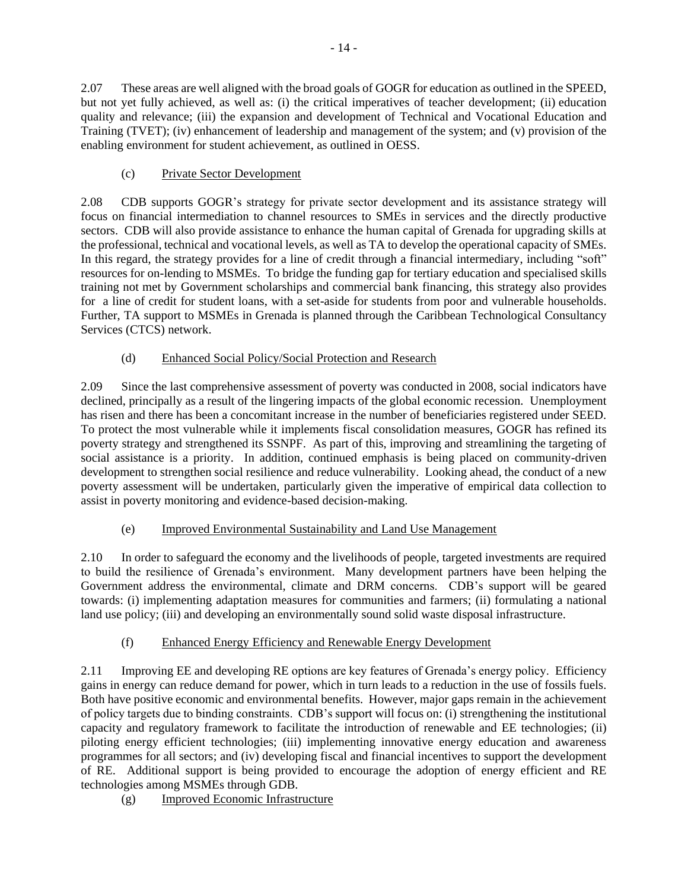2.07 These areas are well aligned with the broad goals of GOGR for education as outlined in the SPEED, but not yet fully achieved, as well as: (i) the critical imperatives of teacher development; (ii) education quality and relevance; (iii) the expansion and development of Technical and Vocational Education and Training (TVET); (iv) enhancement of leadership and management of the system; and (v) provision of the enabling environment for student achievement, as outlined in OESS.

# (c) Private Sector Development

2.08 CDB supports GOGR's strategy for private sector development and its assistance strategy will focus on financial intermediation to channel resources to SMEs in services and the directly productive sectors. CDB will also provide assistance to enhance the human capital of Grenada for upgrading skills at the professional, technical and vocational levels, as well as TA to develop the operational capacity of SMEs. In this regard, the strategy provides for a line of credit through a financial intermediary, including "soft" resources for on-lending to MSMEs. To bridge the funding gap for tertiary education and specialised skills training not met by Government scholarships and commercial bank financing, this strategy also provides for a line of credit for student loans, with a set-aside for students from poor and vulnerable households. Further, TA support to MSMEs in Grenada is planned through the Caribbean Technological Consultancy Services (CTCS) network.

# (d) Enhanced Social Policy/Social Protection and Research

2.09 Since the last comprehensive assessment of poverty was conducted in 2008, social indicators have declined, principally as a result of the lingering impacts of the global economic recession. Unemployment has risen and there has been a concomitant increase in the number of beneficiaries registered under SEED. To protect the most vulnerable while it implements fiscal consolidation measures, GOGR has refined its poverty strategy and strengthened its SSNPF. As part of this, improving and streamlining the targeting of social assistance is a priority. In addition, continued emphasis is being placed on community-driven development to strengthen social resilience and reduce vulnerability. Looking ahead, the conduct of a new poverty assessment will be undertaken, particularly given the imperative of empirical data collection to assist in poverty monitoring and evidence-based decision-making.

# (e) Improved Environmental Sustainability and Land Use Management

2.10 In order to safeguard the economy and the livelihoods of people, targeted investments are required to build the resilience of Grenada's environment. Many development partners have been helping the Government address the environmental, climate and DRM concerns. CDB's support will be geared towards: (i) implementing adaptation measures for communities and farmers; (ii) formulating a national land use policy; (iii) and developing an environmentally sound solid waste disposal infrastructure.

# (f) Enhanced Energy Efficiency and Renewable Energy Development

2.11 Improving EE and developing RE options are key features of Grenada's energy policy. Efficiency gains in energy can reduce demand for power, which in turn leads to a reduction in the use of fossils fuels. Both have positive economic and environmental benefits. However, major gaps remain in the achievement of policy targets due to binding constraints. CDB's support will focus on: (i) strengthening the institutional capacity and regulatory framework to facilitate the introduction of renewable and EE technologies; (ii) piloting energy efficient technologies; (iii) implementing innovative energy education and awareness programmes for all sectors; and (iv) developing fiscal and financial incentives to support the development of RE. Additional support is being provided to encourage the adoption of energy efficient and RE technologies among MSMEs through GDB.

(g) Improved Economic Infrastructure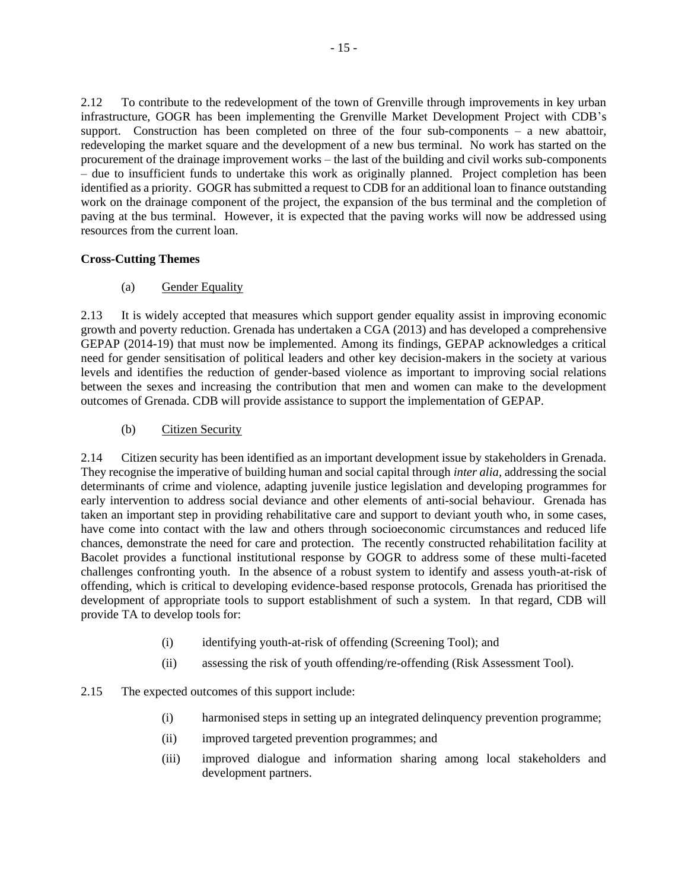2.12 To contribute to the redevelopment of the town of Grenville through improvements in key urban infrastructure, GOGR has been implementing the Grenville Market Development Project with CDB's support. Construction has been completed on three of the four sub-components – a new abattoir, redeveloping the market square and the development of a new bus terminal. No work has started on the procurement of the drainage improvement works – the last of the building and civil works sub-components – due to insufficient funds to undertake this work as originally planned. Project completion has been identified as a priority. GOGR has submitted a request to CDB for an additional loan to finance outstanding work on the drainage component of the project, the expansion of the bus terminal and the completion of paving at the bus terminal. However, it is expected that the paving works will now be addressed using resources from the current loan.

# **Cross-Cutting Themes**

# (a) Gender Equality

2.13 It is widely accepted that measures which support gender equality assist in improving economic growth and poverty reduction. Grenada has undertaken a CGA (2013) and has developed a comprehensive GEPAP (2014-19) that must now be implemented. Among its findings, GEPAP acknowledges a critical need for gender sensitisation of political leaders and other key decision-makers in the society at various levels and identifies the reduction of gender-based violence as important to improving social relations between the sexes and increasing the contribution that men and women can make to the development outcomes of Grenada. CDB will provide assistance to support the implementation of GEPAP.

# (b) Citizen Security

2.14 Citizen security has been identified as an important development issue by stakeholders in Grenada. They recognise the imperative of building human and social capital through *inter alia,* addressing the social determinants of crime and violence, adapting juvenile justice legislation and developing programmes for early intervention to address social deviance and other elements of anti-social behaviour. Grenada has taken an important step in providing rehabilitative care and support to deviant youth who, in some cases, have come into contact with the law and others through socioeconomic circumstances and reduced life chances, demonstrate the need for care and protection. The recently constructed rehabilitation facility at Bacolet provides a functional institutional response by GOGR to address some of these multi-faceted challenges confronting youth. In the absence of a robust system to identify and assess youth-at-risk of offending, which is critical to developing evidence-based response protocols, Grenada has prioritised the development of appropriate tools to support establishment of such a system. In that regard, CDB will provide TA to develop tools for:

- (i) identifying youth-at-risk of offending (Screening Tool); and
- (ii) assessing the risk of youth offending/re-offending (Risk Assessment Tool).

# 2.15 The expected outcomes of this support include:

- (i) harmonised steps in setting up an integrated delinquency prevention programme;
- (ii) improved targeted prevention programmes; and
- (iii) improved dialogue and information sharing among local stakeholders and development partners.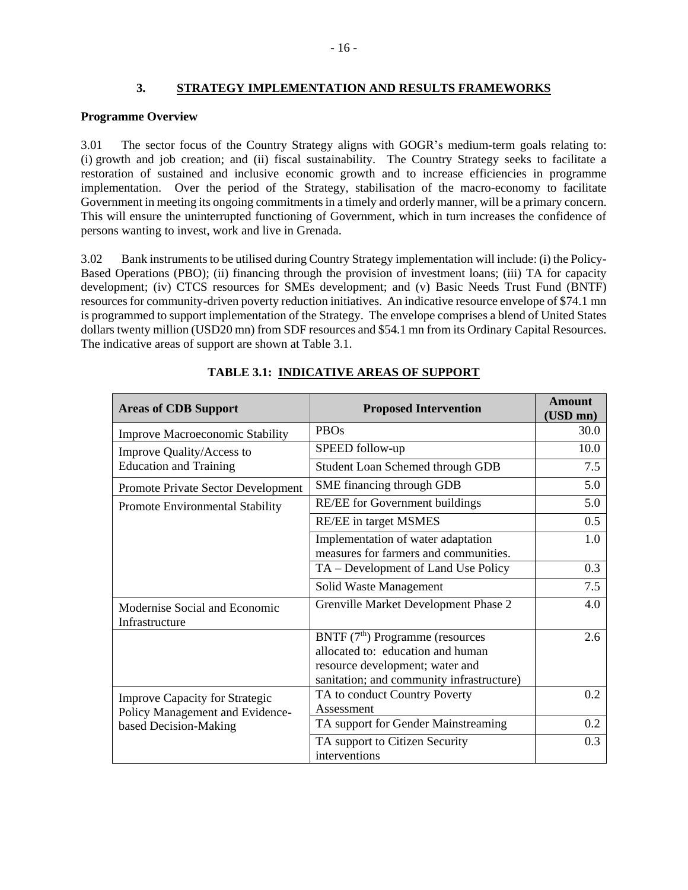### **3. STRATEGY IMPLEMENTATION AND RESULTS FRAMEWORKS**

#### **Programme Overview**

3.01 The sector focus of the Country Strategy aligns with GOGR's medium-term goals relating to: (i) growth and job creation; and (ii) fiscal sustainability. The Country Strategy seeks to facilitate a restoration of sustained and inclusive economic growth and to increase efficiencies in programme implementation. Over the period of the Strategy, stabilisation of the macro-economy to facilitate Government in meeting its ongoing commitments in a timely and orderly manner, will be a primary concern. This will ensure the uninterrupted functioning of Government, which in turn increases the confidence of persons wanting to invest, work and live in Grenada.

3.02 Bank instruments to be utilised during Country Strategy implementation will include: (i) the Policy-Based Operations (PBO); (ii) financing through the provision of investment loans; (iii) TA for capacity development; (iv) CTCS resources for SMEs development; and (v) Basic Needs Trust Fund (BNTF) resources for community-driven poverty reduction initiatives. An indicative resource envelope of \$74.1 mn is programmed to support implementation of the Strategy. The envelope comprises a blend of United States dollars twenty million (USD20 mn) from SDF resources and \$54.1 mn from its Ordinary Capital Resources. The indicative areas of support are shown at Table 3.1.

| <b>Areas of CDB Support</b>                                              | <b>Proposed Intervention</b>                                                                                                                          | Amount<br>(USD mn) |
|--------------------------------------------------------------------------|-------------------------------------------------------------------------------------------------------------------------------------------------------|--------------------|
| <b>Improve Macroeconomic Stability</b>                                   | <b>PROs</b>                                                                                                                                           | 30.0               |
| Improve Quality/Access to                                                | SPEED follow-up                                                                                                                                       | 10.0               |
| <b>Education and Training</b>                                            | Student Loan Schemed through GDB                                                                                                                      | 7.5                |
| Promote Private Sector Development                                       | SME financing through GDB                                                                                                                             | 5.0                |
| Promote Environmental Stability                                          | RE/EE for Government buildings                                                                                                                        | 5.0                |
|                                                                          | RE/EE in target MSMES                                                                                                                                 | 0.5                |
|                                                                          | Implementation of water adaptation<br>measures for farmers and communities.                                                                           | 1.0                |
|                                                                          | TA – Development of Land Use Policy                                                                                                                   | 0.3                |
|                                                                          | Solid Waste Management                                                                                                                                | 7.5                |
| Modernise Social and Economic<br>Infrastructure                          | Grenville Market Development Phase 2                                                                                                                  | 4.0                |
|                                                                          | $BNTF(7th)$ Programme (resources<br>allocated to: education and human<br>resource development; water and<br>sanitation; and community infrastructure) | 2.6                |
| <b>Improve Capacity for Strategic</b><br>Policy Management and Evidence- | TA to conduct Country Poverty<br>Assessment                                                                                                           | 0.2                |
| based Decision-Making                                                    | TA support for Gender Mainstreaming                                                                                                                   | 0.2                |
|                                                                          | TA support to Citizen Security<br>interventions                                                                                                       | 0.3                |

### **TABLE 3.1: INDICATIVE AREAS OF SUPPORT**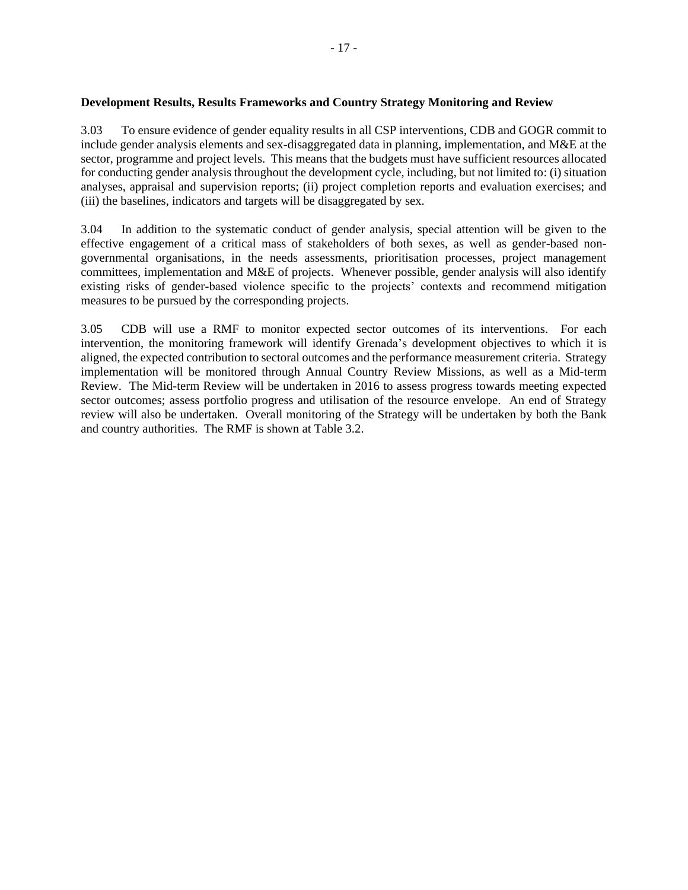### **Development Results, Results Frameworks and Country Strategy Monitoring and Review**

3.03 To ensure evidence of gender equality results in all CSP interventions, CDB and GOGR commit to include gender analysis elements and sex-disaggregated data in planning, implementation, and M&E at the sector, programme and project levels. This means that the budgets must have sufficient resources allocated for conducting gender analysis throughout the development cycle, including, but not limited to: (i) situation analyses, appraisal and supervision reports; (ii) project completion reports and evaluation exercises; and (iii) the baselines, indicators and targets will be disaggregated by sex.

3.04 In addition to the systematic conduct of gender analysis, special attention will be given to the effective engagement of a critical mass of stakeholders of both sexes, as well as gender-based nongovernmental organisations, in the needs assessments, prioritisation processes, project management committees, implementation and M&E of projects. Whenever possible, gender analysis will also identify existing risks of gender-based violence specific to the projects' contexts and recommend mitigation measures to be pursued by the corresponding projects.

3.05 CDB will use a RMF to monitor expected sector outcomes of its interventions. For each intervention, the monitoring framework will identify Grenada's development objectives to which it is aligned, the expected contribution to sectoral outcomes and the performance measurement criteria. Strategy implementation will be monitored through Annual Country Review Missions, as well as a Mid-term Review. The Mid-term Review will be undertaken in 2016 to assess progress towards meeting expected sector outcomes; assess portfolio progress and utilisation of the resource envelope. An end of Strategy review will also be undertaken. Overall monitoring of the Strategy will be undertaken by both the Bank and country authorities. The RMF is shown at Table 3.2.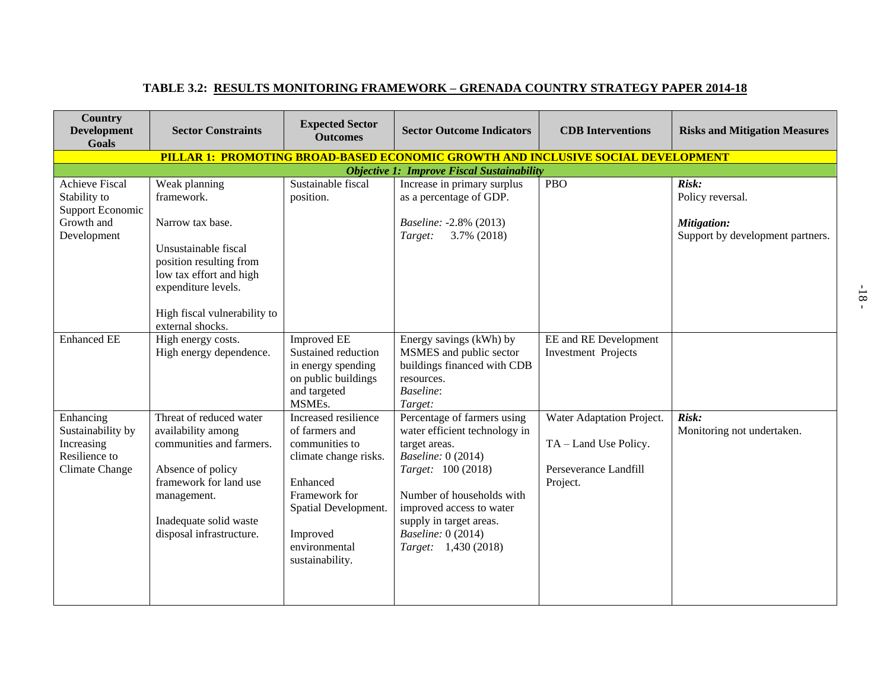# **TABLE 3.2: RESULTS MONITORING FRAMEWORK – GRENADA COUNTRY STRATEGY PAPER 2014-18**

| <b>Country</b><br><b>Development</b><br><b>Goals</b>                                   | <b>Sector Constraints</b>                                                                                                                                                                     | <b>Expected Sector</b><br><b>Outcomes</b>                                                                                                                                              | <b>Sector Outcome Indicators</b>                                                                                                                                                                                                                                          | <b>CDB</b> Interventions                                                                | <b>Risks and Mitigation Measures</b>            |  |  |  |  |  |
|----------------------------------------------------------------------------------------|-----------------------------------------------------------------------------------------------------------------------------------------------------------------------------------------------|----------------------------------------------------------------------------------------------------------------------------------------------------------------------------------------|---------------------------------------------------------------------------------------------------------------------------------------------------------------------------------------------------------------------------------------------------------------------------|-----------------------------------------------------------------------------------------|-------------------------------------------------|--|--|--|--|--|
|                                                                                        | PILLAR 1: PROMOTING BROAD-BASED ECONOMIC GROWTH AND INCLUSIVE SOCIAL DEVELOPMENT                                                                                                              |                                                                                                                                                                                        |                                                                                                                                                                                                                                                                           |                                                                                         |                                                 |  |  |  |  |  |
|                                                                                        |                                                                                                                                                                                               |                                                                                                                                                                                        | <b>Objective 1: Improve Fiscal Sustainability</b>                                                                                                                                                                                                                         |                                                                                         |                                                 |  |  |  |  |  |
| <b>Achieve Fiscal</b><br>Stability to<br>Support Economic                              | Weak planning<br>framework.                                                                                                                                                                   | Sustainable fiscal<br>position.                                                                                                                                                        | Increase in primary surplus<br>as a percentage of GDP.                                                                                                                                                                                                                    | <b>PBO</b>                                                                              | Risk:<br>Policy reversal.                       |  |  |  |  |  |
| Growth and<br>Development                                                              | Narrow tax base.<br>Unsustainable fiscal<br>position resulting from<br>low tax effort and high<br>expenditure levels.<br>High fiscal vulnerability to<br>external shocks.                     |                                                                                                                                                                                        | Baseline: -2.8% (2013)<br>Target:<br>3.7% (2018)                                                                                                                                                                                                                          |                                                                                         | Mitigation:<br>Support by development partners. |  |  |  |  |  |
| <b>Enhanced EE</b>                                                                     | High energy costs.<br>High energy dependence.                                                                                                                                                 | Improved EE<br>Sustained reduction<br>in energy spending<br>on public buildings<br>and targeted<br>MSMEs.                                                                              | Energy savings (kWh) by<br>MSMES and public sector<br>buildings financed with CDB<br>resources.<br><b>Baseline:</b><br>Target:                                                                                                                                            | EE and RE Development<br><b>Investment Projects</b>                                     |                                                 |  |  |  |  |  |
| Enhancing<br>Sustainability by<br>Increasing<br>Resilience to<br><b>Climate Change</b> | Threat of reduced water<br>availability among<br>communities and farmers.<br>Absence of policy<br>framework for land use<br>management.<br>Inadequate solid waste<br>disposal infrastructure. | Increased resilience<br>of farmers and<br>communities to<br>climate change risks.<br>Enhanced<br>Framework for<br>Spatial Development.<br>Improved<br>environmental<br>sustainability. | Percentage of farmers using<br>water efficient technology in<br>target areas.<br><i>Baseline:</i> 0 (2014)<br>Target: 100 (2018)<br>Number of households with<br>improved access to water<br>supply in target areas.<br><i>Baseline:</i> 0 (2014)<br>Target: 1,430 (2018) | Water Adaptation Project.<br>TA - Land Use Policy.<br>Perseverance Landfill<br>Project. | Risk:<br>Monitoring not undertaken.             |  |  |  |  |  |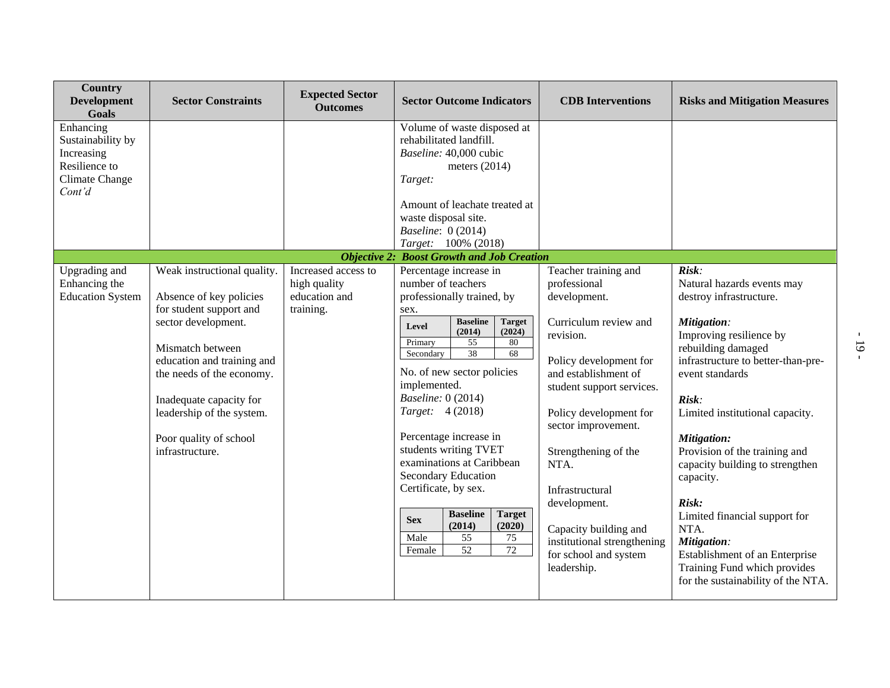| <b>Country</b><br><b>Development</b><br>Goals                                             | <b>Sector Constraints</b>                                                                                                                                                                                                                                                                    | <b>Expected Sector</b><br><b>Outcomes</b>                         | <b>Sector Outcome Indicators</b>                                                                                                                                                                                                                                                                                                                                                                                                                                                                                                                                                                             | <b>CDB</b> Interventions                                                                                                                                                                                                                                                                                                                                                                      | <b>Risks and Mitigation Measures</b>                                                                                                                                                                                                                                                                                                                                                                                                                                                                         |
|-------------------------------------------------------------------------------------------|----------------------------------------------------------------------------------------------------------------------------------------------------------------------------------------------------------------------------------------------------------------------------------------------|-------------------------------------------------------------------|--------------------------------------------------------------------------------------------------------------------------------------------------------------------------------------------------------------------------------------------------------------------------------------------------------------------------------------------------------------------------------------------------------------------------------------------------------------------------------------------------------------------------------------------------------------------------------------------------------------|-----------------------------------------------------------------------------------------------------------------------------------------------------------------------------------------------------------------------------------------------------------------------------------------------------------------------------------------------------------------------------------------------|--------------------------------------------------------------------------------------------------------------------------------------------------------------------------------------------------------------------------------------------------------------------------------------------------------------------------------------------------------------------------------------------------------------------------------------------------------------------------------------------------------------|
| Enhancing<br>Sustainability by<br>Increasing<br>Resilience to<br>Climate Change<br>Cont'd |                                                                                                                                                                                                                                                                                              |                                                                   | Volume of waste disposed at<br>rehabilitated landfill.<br>Baseline: 40,000 cubic<br>meters $(2014)$<br>Target:<br>Amount of leachate treated at<br>waste disposal site.<br>Baseline: 0 (2014)                                                                                                                                                                                                                                                                                                                                                                                                                |                                                                                                                                                                                                                                                                                                                                                                                               |                                                                                                                                                                                                                                                                                                                                                                                                                                                                                                              |
|                                                                                           |                                                                                                                                                                                                                                                                                              |                                                                   | Target: 100% (2018)                                                                                                                                                                                                                                                                                                                                                                                                                                                                                                                                                                                          |                                                                                                                                                                                                                                                                                                                                                                                               |                                                                                                                                                                                                                                                                                                                                                                                                                                                                                                              |
| Upgrading and<br>Enhancing the<br><b>Education System</b>                                 | Weak instructional quality.<br>Absence of key policies<br>for student support and<br>sector development.<br>Mismatch between<br>education and training and<br>the needs of the economy.<br>Inadequate capacity for<br>leadership of the system.<br>Poor quality of school<br>infrastructure. | Increased access to<br>high quality<br>education and<br>training. | <b>Objective 2: Boost Growth and Job Creation</b><br>Percentage increase in<br>number of teachers<br>professionally trained, by<br>sex.<br><b>Baseline</b><br><b>Target</b><br>Level<br>(2014)<br>(2024)<br>55<br>80<br>Primary<br>38<br>Secondary<br>68<br>No. of new sector policies<br>implemented.<br>Baseline: 0 (2014)<br>Target: 4 (2018)<br>Percentage increase in<br>students writing TVET<br>examinations at Caribbean<br>Secondary Education<br>Certificate, by sex.<br><b>Target</b><br><b>Baseline</b><br><b>Sex</b><br>(2014)<br>(2020)<br>55<br>75<br>Male<br>52<br>$\overline{72}$<br>Female | Teacher training and<br>professional<br>development.<br>Curriculum review and<br>revision.<br>Policy development for<br>and establishment of<br>student support services.<br>Policy development for<br>sector improvement.<br>Strengthening of the<br>NTA.<br>Infrastructural<br>development.<br>Capacity building and<br>institutional strengthening<br>for school and system<br>leadership. | Risk:<br>Natural hazards events may<br>destroy infrastructure.<br>Mitigation:<br>Improving resilience by<br>rebuilding damaged<br>infrastructure to better-than-pre-<br>event standards<br>Risk:<br>Limited institutional capacity.<br>Mitigation:<br>Provision of the training and<br>capacity building to strengthen<br>capacity.<br>Risk:<br>Limited financial support for<br>NTA.<br>Mitigation:<br>Establishment of an Enterprise<br>Training Fund which provides<br>for the sustainability of the NTA. |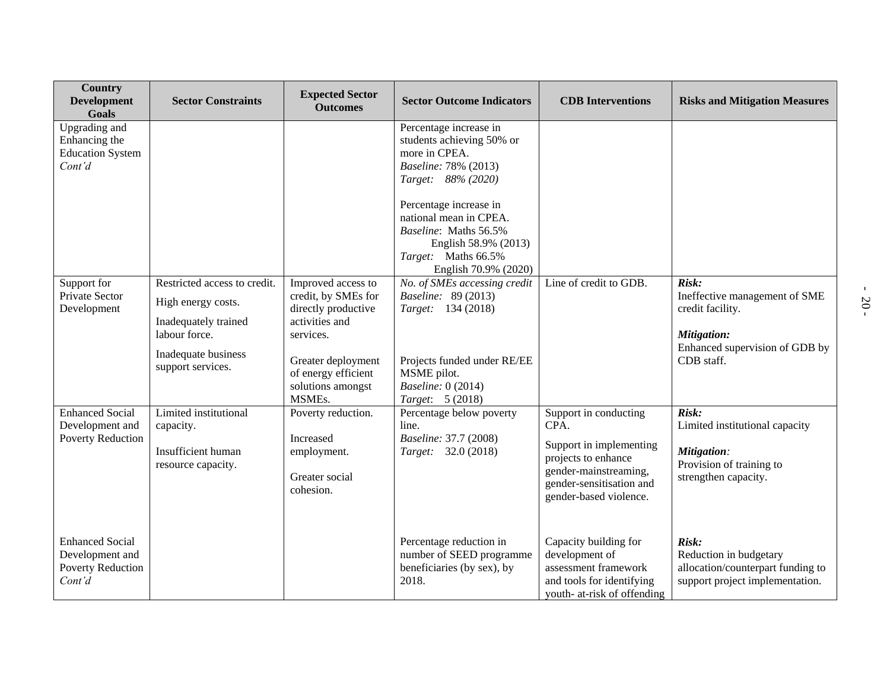| <b>Country</b><br><b>Development</b><br><b>Goals</b>                            | <b>Sector Constraints</b>                                                                                                               | <b>Expected Sector</b><br><b>Outcomes</b>                                                                                                                                   | <b>Sector Outcome Indicators</b>                                                                                                                                                                                                                                       | <b>CDB</b> Interventions                                                                                                                                       | <b>Risks and Mitigation Measures</b>                                                                                      |
|---------------------------------------------------------------------------------|-----------------------------------------------------------------------------------------------------------------------------------------|-----------------------------------------------------------------------------------------------------------------------------------------------------------------------------|------------------------------------------------------------------------------------------------------------------------------------------------------------------------------------------------------------------------------------------------------------------------|----------------------------------------------------------------------------------------------------------------------------------------------------------------|---------------------------------------------------------------------------------------------------------------------------|
| Upgrading and<br>Enhancing the<br><b>Education System</b><br>Cont'd             |                                                                                                                                         |                                                                                                                                                                             | Percentage increase in<br>students achieving 50% or<br>more in CPEA.<br>Baseline: 78% (2013)<br>Target: 88% (2020)<br>Percentage increase in<br>national mean in CPEA.<br>Baseline: Maths 56.5%<br>English 58.9% (2013)<br>Target: Maths 66.5%<br>English 70.9% (2020) |                                                                                                                                                                |                                                                                                                           |
| Support for<br>Private Sector<br>Development                                    | Restricted access to credit.<br>High energy costs.<br>Inadequately trained<br>labour force.<br>Inadequate business<br>support services. | Improved access to<br>credit, by SMEs for<br>directly productive<br>activities and<br>services.<br>Greater deployment<br>of energy efficient<br>solutions amongst<br>MSMEs. | No. of SMEs accessing credit<br><i>Baseline:</i> 89 (2013)<br>Target: 134 (2018)<br>Projects funded under RE/EE<br>MSME pilot.<br>Baseline: 0 (2014)<br>Target: 5 (2018)                                                                                               | Line of credit to GDB.                                                                                                                                         | Risk:<br>Ineffective management of SME<br>credit facility.<br>Mitigation:<br>Enhanced supervision of GDB by<br>CDB staff. |
| <b>Enhanced Social</b><br>Development and<br><b>Poverty Reduction</b>           | Limited institutional<br>capacity.<br>Insufficient human<br>resource capacity.                                                          | Poverty reduction.<br>Increased<br>employment.<br>Greater social<br>cohesion.                                                                                               | Percentage below poverty<br>line.<br>Baseline: 37.7 (2008)<br>Target: 32.0 (2018)                                                                                                                                                                                      | Support in conducting<br>CPA.<br>Support in implementing<br>projects to enhance<br>gender-mainstreaming,<br>gender-sensitisation and<br>gender-based violence. | Risk:<br>Limited institutional capacity<br>Mitigation:<br>Provision of training to<br>strengthen capacity.                |
| <b>Enhanced Social</b><br>Development and<br><b>Poverty Reduction</b><br>Cont'd |                                                                                                                                         |                                                                                                                                                                             | Percentage reduction in<br>number of SEED programme<br>beneficiaries (by sex), by<br>2018.                                                                                                                                                                             | Capacity building for<br>development of<br>assessment framework<br>and tools for identifying<br>youth- at-risk of offending                                    | Risk:<br>Reduction in budgetary<br>allocation/counterpart funding to<br>support project implementation.                   |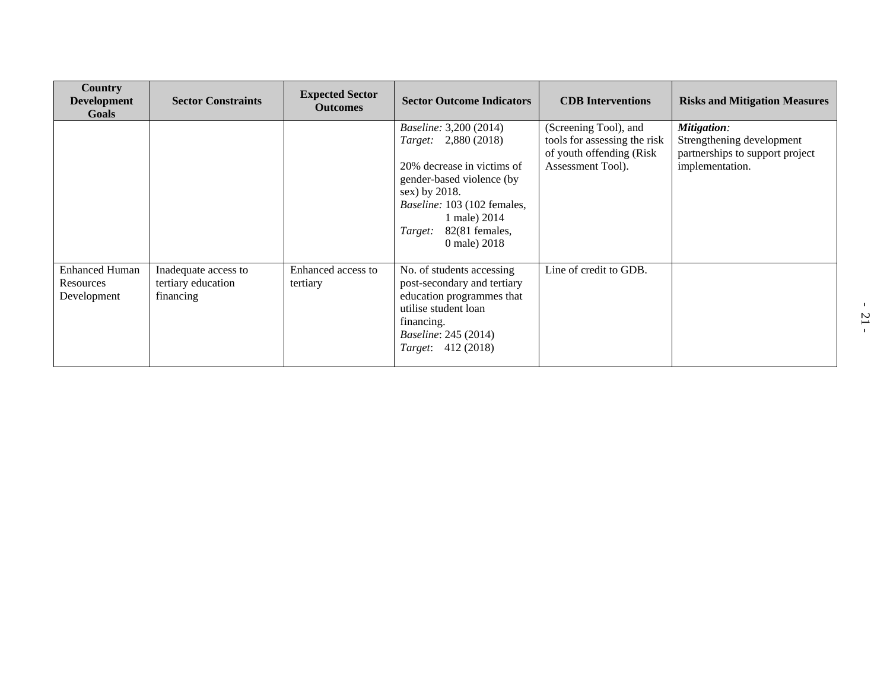| Country<br><b>Development</b><br>Goals            | <b>Sector Constraints</b>                               | <b>Expected Sector</b><br><b>Outcomes</b> | <b>Sector Outcome Indicators</b>                                                                                                                                                                                                     | <b>CDB</b> Interventions                                                                               | <b>Risks and Mitigation Measures</b>                                                           |
|---------------------------------------------------|---------------------------------------------------------|-------------------------------------------|--------------------------------------------------------------------------------------------------------------------------------------------------------------------------------------------------------------------------------------|--------------------------------------------------------------------------------------------------------|------------------------------------------------------------------------------------------------|
|                                                   |                                                         |                                           | <i>Baseline:</i> 3,200 (2014)<br>Target: 2,880 (2018)<br>20% decrease in victims of<br>gender-based violence (by<br>sex) by 2018.<br><i>Baseline:</i> 103 (102 females,<br>1 male) 2014<br>82(81 females,<br>Target:<br>0 male) 2018 | (Screening Tool), and<br>tools for assessing the risk<br>of youth offending (Risk<br>Assessment Tool). | Mitigation:<br>Strengthening development<br>partnerships to support project<br>implementation. |
| <b>Enhanced Human</b><br>Resources<br>Development | Inadequate access to<br>tertiary education<br>financing | Enhanced access to<br>tertiary            | No. of students accessing<br>post-secondary and tertiary<br>education programmes that<br>utilise student loan<br>financing.<br><i>Baseline:</i> 245 (2014)<br>Target: 412 (2018)                                                     | Line of credit to GDB.                                                                                 |                                                                                                |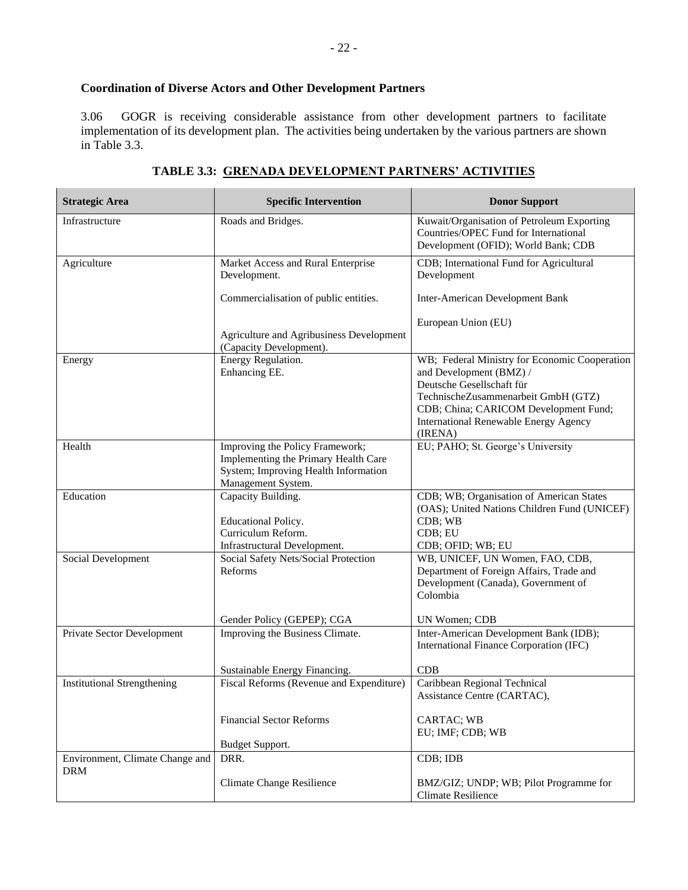# **Coordination of Diverse Actors and Other Development Partners**

3.06 GOGR is receiving considerable assistance from other development partners to facilitate implementation of its development plan. The activities being undertaken by the various partners are shown in Table 3.3.

| <b>Strategic Area</b>              | <b>Specific Intervention</b>                                                                                                          | <b>Donor Support</b>                                                                                                                                                                                                                             |
|------------------------------------|---------------------------------------------------------------------------------------------------------------------------------------|--------------------------------------------------------------------------------------------------------------------------------------------------------------------------------------------------------------------------------------------------|
| Infrastructure                     | Roads and Bridges.                                                                                                                    | Kuwait/Organisation of Petroleum Exporting<br>Countries/OPEC Fund for International<br>Development (OFID); World Bank; CDB                                                                                                                       |
| Agriculture                        | Market Access and Rural Enterprise<br>Development.                                                                                    | CDB; International Fund for Agricultural<br>Development                                                                                                                                                                                          |
|                                    | Commercialisation of public entities.                                                                                                 | Inter-American Development Bank                                                                                                                                                                                                                  |
|                                    | Agriculture and Agribusiness Development<br>(Capacity Development).                                                                   | European Union (EU)                                                                                                                                                                                                                              |
| Energy                             | Energy Regulation.<br>Enhancing EE.                                                                                                   | WB; Federal Ministry for Economic Cooperation<br>and Development (BMZ) /<br>Deutsche Gesellschaft für<br>TechnischeZusammenarbeit GmbH (GTZ)<br>CDB; China; CARICOM Development Fund;<br><b>International Renewable Energy Agency</b><br>(IRENA) |
| Health                             | Improving the Policy Framework;<br>Implementing the Primary Health Care<br>System; Improving Health Information<br>Management System. | EU; PAHO; St. George's University                                                                                                                                                                                                                |
| Education                          | Capacity Building.<br>Educational Policy.<br>Curriculum Reform.<br>Infrastructural Development.                                       | CDB; WB; Organisation of American States<br>(OAS); United Nations Children Fund (UNICEF)<br>CDB; WB<br>CDB; EU<br>CDB; OFID; WB; EU                                                                                                              |
| Social Development                 | Social Safety Nets/Social Protection<br>Reforms                                                                                       | WB, UNICEF, UN Women, FAO, CDB,<br>Department of Foreign Affairs, Trade and<br>Development (Canada), Government of<br>Colombia                                                                                                                   |
| Private Sector Development         | Gender Policy (GEPEP); CGA<br>Improving the Business Climate.                                                                         | UN Women; CDB<br>Inter-American Development Bank (IDB);<br>International Finance Corporation (IFC)                                                                                                                                               |
| <b>Institutional Strengthening</b> | Sustainable Energy Financing.<br>Fiscal Reforms (Revenue and Expenditure)                                                             | CDB<br>Caribbean Regional Technical<br>Assistance Centre (CARTAC),                                                                                                                                                                               |
|                                    | <b>Financial Sector Reforms</b><br>Budget Support.                                                                                    | <b>CARTAC; WB</b><br>EU; IMF; CDB; WB                                                                                                                                                                                                            |
| Environment, Climate Change and    | DRR.                                                                                                                                  | CDB; IDB                                                                                                                                                                                                                                         |
| <b>DRM</b>                         | <b>Climate Change Resilience</b>                                                                                                      | BMZ/GIZ; UNDP; WB; Pilot Programme for<br><b>Climate Resilience</b>                                                                                                                                                                              |

# **TABLE 3.3: GRENADA DEVELOPMENT PARTNERS' ACTIVITIES**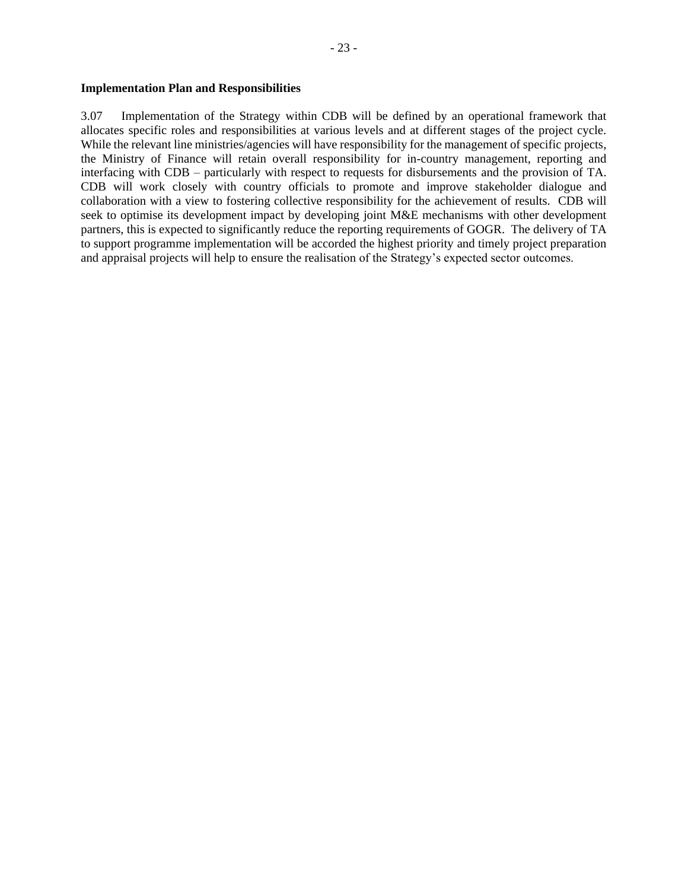#### **Implementation Plan and Responsibilities**

3.07 Implementation of the Strategy within CDB will be defined by an operational framework that allocates specific roles and responsibilities at various levels and at different stages of the project cycle. While the relevant line ministries/agencies will have responsibility for the management of specific projects, the Ministry of Finance will retain overall responsibility for in-country management, reporting and interfacing with CDB – particularly with respect to requests for disbursements and the provision of TA. CDB will work closely with country officials to promote and improve stakeholder dialogue and collaboration with a view to fostering collective responsibility for the achievement of results. CDB will seek to optimise its development impact by developing joint M&E mechanisms with other development partners, this is expected to significantly reduce the reporting requirements of GOGR. The delivery of TA to support programme implementation will be accorded the highest priority and timely project preparation and appraisal projects will help to ensure the realisation of the Strategy's expected sector outcomes.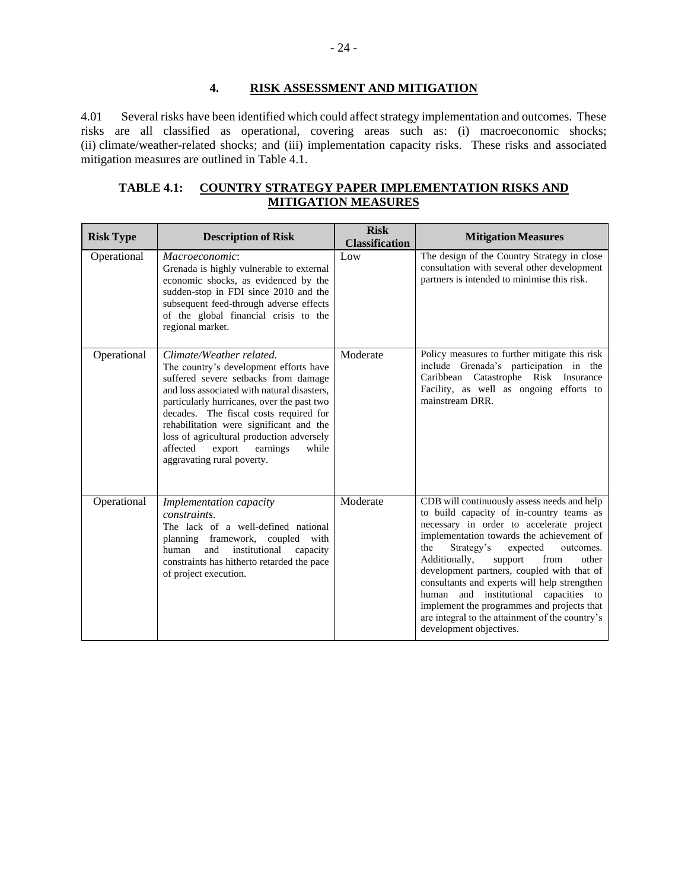# **4. RISK ASSESSMENT AND MITIGATION**

4.01 Several risks have been identified which could affect strategy implementation and outcomes. These risks are all classified as operational, covering areas such as: (i) macroeconomic shocks; (ii) climate/weather-related shocks; and (iii) implementation capacity risks. These risks and associated mitigation measures are outlined in Table 4.1.

| <b>TABLE 4.1:</b> | <b>COUNTRY STRATEGY PAPER IMPLEMENTATION RISKS AND</b> |
|-------------------|--------------------------------------------------------|
|                   | <b>MITIGATION MEASURES</b>                             |

| <b>Risk Type</b> | <b>Description of Risk</b>                                                                                                                                                                                                                                                                                                                                                                                         | <b>Risk</b><br><b>Classification</b> | <b>Mitigation Measures</b>                                                                                                                                                                                                                                                                                                                                                                                                                                                                                                                     |
|------------------|--------------------------------------------------------------------------------------------------------------------------------------------------------------------------------------------------------------------------------------------------------------------------------------------------------------------------------------------------------------------------------------------------------------------|--------------------------------------|------------------------------------------------------------------------------------------------------------------------------------------------------------------------------------------------------------------------------------------------------------------------------------------------------------------------------------------------------------------------------------------------------------------------------------------------------------------------------------------------------------------------------------------------|
| Operational      | Macroeconomic:<br>Grenada is highly vulnerable to external<br>economic shocks, as evidenced by the<br>sudden-stop in FDI since 2010 and the<br>subsequent feed-through adverse effects<br>of the global financial crisis to the<br>regional market.                                                                                                                                                                | Low                                  | The design of the Country Strategy in close<br>consultation with several other development<br>partners is intended to minimise this risk.                                                                                                                                                                                                                                                                                                                                                                                                      |
| Operational      | Climate/Weather related.<br>The country's development efforts have<br>suffered severe setbacks from damage<br>and loss associated with natural disasters,<br>particularly hurricanes, over the past two<br>decades. The fiscal costs required for<br>rehabilitation were significant and the<br>loss of agricultural production adversely<br>affected<br>export<br>earnings<br>while<br>aggravating rural poverty. | Moderate                             | Policy measures to further mitigate this risk<br>include Grenada's participation in the<br>Caribbean Catastrophe Risk Insurance<br>Facility, as well as ongoing efforts to<br>mainstream DRR.                                                                                                                                                                                                                                                                                                                                                  |
| Operational      | Implementation capacity<br><i>constraints.</i><br>The lack of a well-defined national<br>planning framework, coupled with<br>institutional<br>and<br>capacity<br>human<br>constraints has hitherto retarded the pace<br>of project execution.                                                                                                                                                                      | Moderate                             | CDB will continuously assess needs and help<br>to build capacity of in-country teams as<br>necessary in order to accelerate project<br>implementation towards the achievement of<br>the<br>Strategy's<br>expected<br>outcomes.<br>Additionally,<br>from<br>support<br>other<br>development partners, coupled with that of<br>consultants and experts will help strengthen<br>human and institutional capacities to<br>implement the programmes and projects that<br>are integral to the attainment of the country's<br>development objectives. |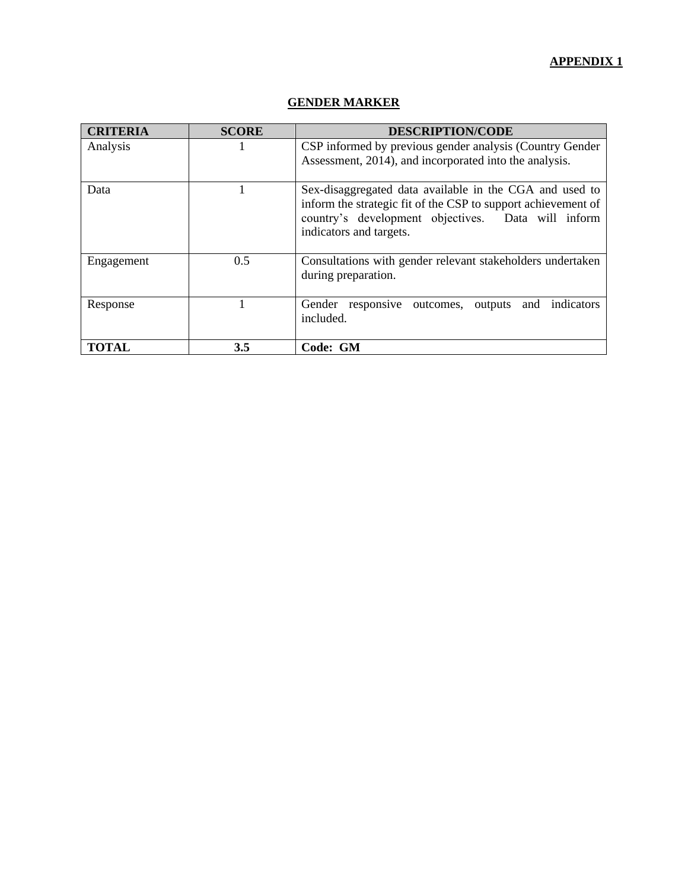# **GENDER MARKER**

| <b>CRITERIA</b> | <b>SCORE</b> | <b>DESCRIPTION/CODE</b>                                                                                                                                                                                   |  |  |  |
|-----------------|--------------|-----------------------------------------------------------------------------------------------------------------------------------------------------------------------------------------------------------|--|--|--|
| Analysis        |              | CSP informed by previous gender analysis (Country Gender)<br>Assessment, 2014), and incorporated into the analysis.                                                                                       |  |  |  |
| Data            |              | Sex-disaggregated data available in the CGA and used to<br>inform the strategic fit of the CSP to support achievement of<br>country's development objectives. Data will inform<br>indicators and targets. |  |  |  |
| Engagement      | 0.5          | Consultations with gender relevant stakeholders undertaken<br>during preparation.                                                                                                                         |  |  |  |
| Response        |              | indicators<br>Gender<br>responsive<br>and<br>outcomes,<br>outputs<br>included.                                                                                                                            |  |  |  |
| <b>TOTAL</b>    | 3.5          | Code: GM                                                                                                                                                                                                  |  |  |  |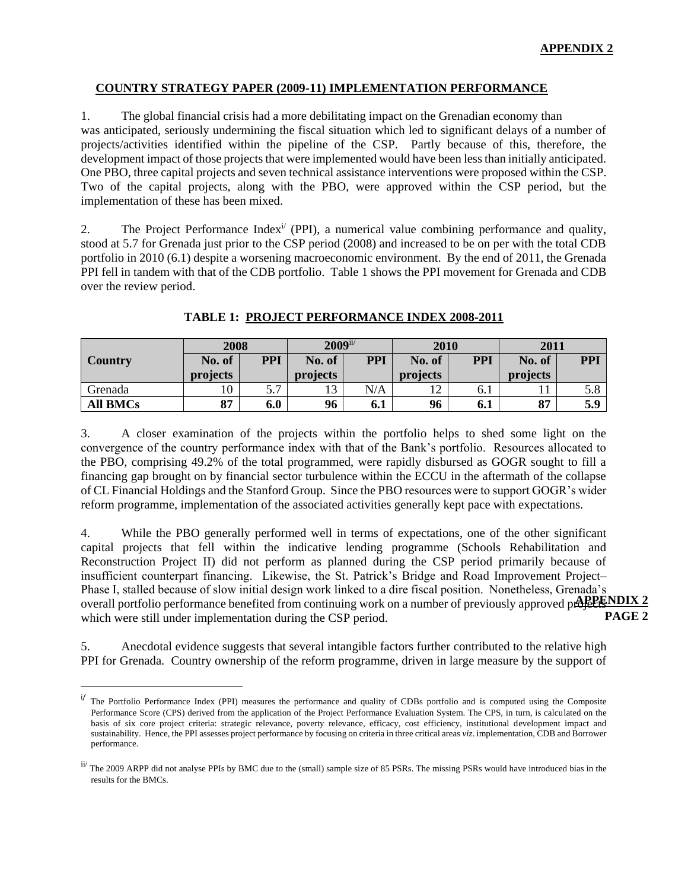#### **COUNTRY STRATEGY PAPER (2009-11) IMPLEMENTATION PERFORMANCE**

1. The global financial crisis had a more debilitating impact on the Grenadian economy than was anticipated, seriously undermining the fiscal situation which led to significant delays of a number of projects/activities identified within the pipeline of the CSP. Partly because of this, therefore, the development impact of those projects that were implemented would have been less than initially anticipated. One PBO, three capital projects and seven technical assistance interventions were proposed within the CSP. Two of the capital projects, along with the PBO, were approved within the CSP period, but the implementation of these has been mixed.

2. The Project Performance Index<sup>i</sup> (PPI), a numerical value combining performance and quality, stood at 5.7 for Grenada just prior to the CSP period (2008) and increased to be on per with the total CDB portfolio in 2010 (6.1) despite a worsening macroeconomic environment. By the end of 2011, the Grenada PPI fell in tandem with that of the CDB portfolio. Table 1 shows the PPI movement for Grenada and CDB over the review period.

|                 | 2008     |            | $2009^{ii/}$ |     | 2010     |            | 2011     |            |
|-----------------|----------|------------|--------------|-----|----------|------------|----------|------------|
| <b>Country</b>  | No. of   | <b>PPI</b> | No. of       | PPI | No. of   | <b>PPI</b> | No. of   | <b>PPI</b> |
|                 | projects |            | projects     |     | projects |            | projects |            |
| Grenada         | 1Ο       | ن د ب      | 12           | N/A | ∸        | O. 1       |          | 5.8        |
| <b>All BMCs</b> | 87       | 6.0        | 96           | 6.1 | 96       | 6.1        | 87       | 5.9        |

### **TABLE 1: PROJECT PERFORMANCE INDEX 2008-2011**

3. A closer examination of the projects within the portfolio helps to shed some light on the convergence of the country performance index with that of the Bank's portfolio. Resources allocated to the PBO, comprising 49.2% of the total programmed, were rapidly disbursed as GOGR sought to fill a financing gap brought on by financial sector turbulence within the ECCU in the aftermath of the collapse of CL Financial Holdings and the Stanford Group. Since the PBO resources were to support GOGR's wider reform programme, implementation of the associated activities generally kept pace with expectations.

4. While the PBO generally performed well in terms of expectations, one of the other significant capital projects that fell within the indicative lending programme (Schools Rehabilitation and Reconstruction Project II) did not perform as planned during the CSP period primarily because of insufficient counterpart financing. Likewise, the St. Patrick's Bridge and Road Improvement Project– Phase I, stalled because of slow initial design work linked to a dire fiscal position. Nonetheless, Grenada's overall portfolio performance benefited from continuing work on a number of previously approved projects 2 which were still under implementation during the CSP period. **PAGE 2**

5. Anecdotal evidence suggests that several intangible factors further contributed to the relative high PPI for Grenada. Country ownership of the reform programme, driven in large measure by the support of

l

<sup>&</sup>lt;sup>i</sup>/ The Portfolio Performance Index (PPI) measures the performance and quality of CDBs portfolio and is computed using the Composite Performance Score (CPS) derived from the application of the Project Performance Evaluation System. The CPS, in turn, is calculated on the basis of six core project criteria: strategic relevance, poverty relevance, efficacy, cost efficiency, institutional development impact and sustainability. Hence, the PPI assesses project performance by focusing on criteria in three critical areas *viz*. implementation, CDB and Borrower performance.

ii/ The 2009 ARPP did not analyse PPIs by BMC due to the (small) sample size of 85 PSRs. The missing PSRs would have introduced bias in the results for the BMCs.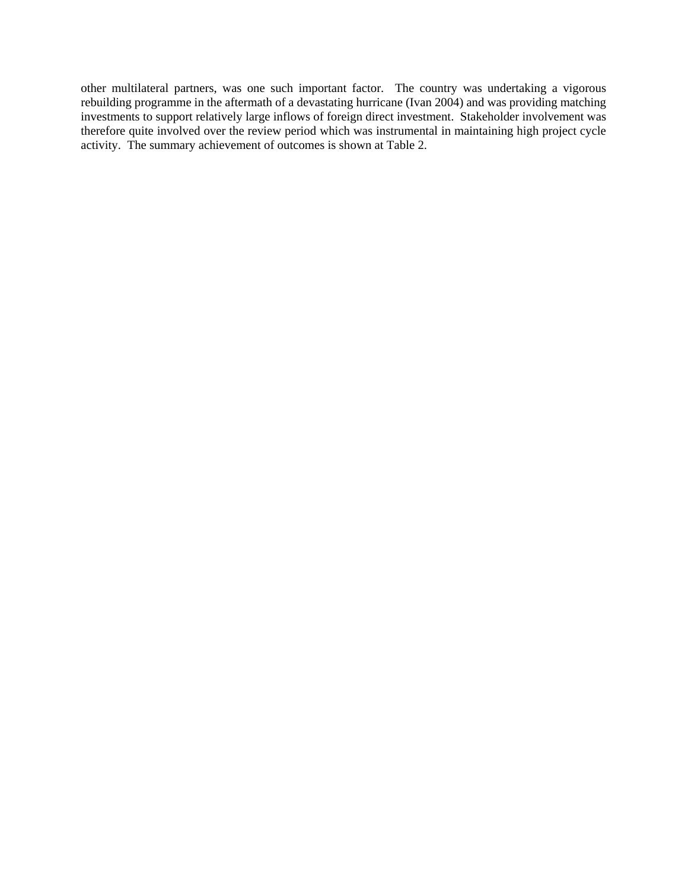other multilateral partners, was one such important factor. The country was undertaking a vigorous rebuilding programme in the aftermath of a devastating hurricane (Ivan 2004) and was providing matching investments to support relatively large inflows of foreign direct investment. Stakeholder involvement was therefore quite involved over the review period which was instrumental in maintaining high project cycle activity. The summary achievement of outcomes is shown at Table 2.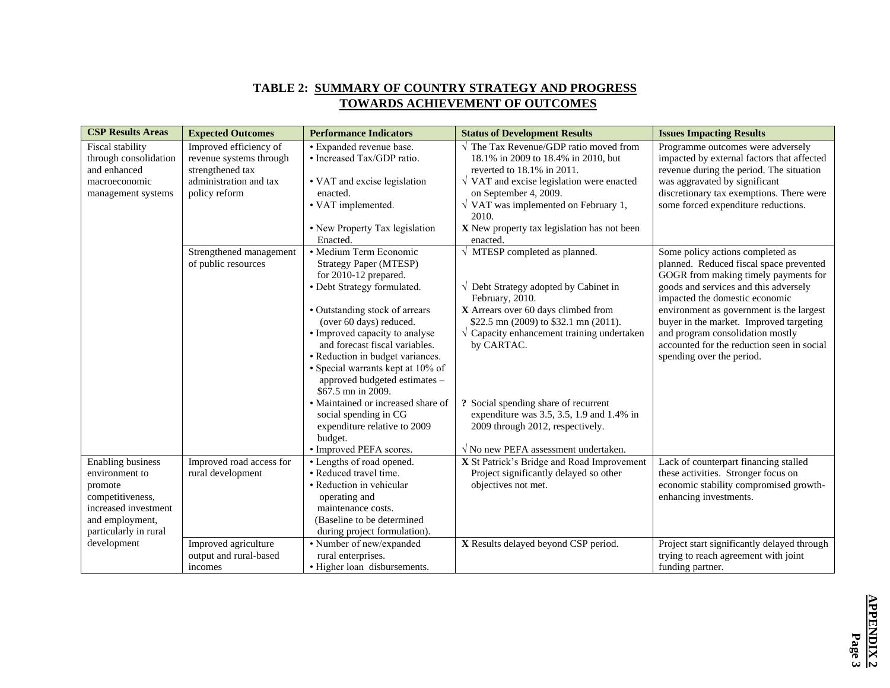# **TABLE 2: SUMMARY OF COUNTRY STRATEGY AND PROGRESS TOWARDS ACHIEVEMENT OF OUTCOMES**

| $\sqrt{\ }$ The Tax Revenue/GDP ratio moved from<br>Improved efficiency of<br>· Expanded revenue base.<br>Programme outcomes were adversely<br>Fiscal stability<br>revenue systems through<br>• Increased Tax/GDP ratio.<br>impacted by external factors that affected<br>through consolidation<br>18.1% in 2009 to 18.4% in 2010, but<br>strengthened tax<br>revenue during the period. The situation<br>and enhanced<br>reverted to $18.1\%$ in 2011.<br>administration and tax<br>was aggravated by significant<br>$\sqrt{VAT}$ and excise legislation were enacted<br>macroeconomic<br>• VAT and excise legislation<br>discretionary tax exemptions. There were<br>enacted.<br>on September 4, 2009.<br>policy reform<br>management systems<br>• VAT implemented.<br>$\sqrt{VAT}$ was implemented on February 1,<br>some forced expenditure reductions.<br>2010.<br>• New Property Tax legislation<br>X New property tax legislation has not been<br>Enacted.<br>enacted.<br>· Medium Term Economic<br>$\sqrt{\text{MTESP}}$ completed as planned.<br>Strengthened management<br>Some policy actions completed as<br>of public resources<br><b>Strategy Paper (MTESP)</b><br>planned. Reduced fiscal space prevented<br>GOGR from making timely payments for<br>for 2010-12 prepared.<br>• Debt Strategy formulated.<br>goods and services and this adversely<br>$\sqrt{ }$ Debt Strategy adopted by Cabinet in<br>February, 2010.<br>impacted the domestic economic<br>X Arrears over 60 days climbed from<br>environment as government is the largest<br>• Outstanding stock of arrears<br>\$22.5 mn (2009) to \$32.1 mn (2011).<br>buyer in the market. Improved targeting<br>(over 60 days) reduced.<br>• Improved capacity to analyse<br>$\sqrt{\phantom{a}}$ Capacity enhancement training undertaken<br>and program consolidation mostly<br>and forecast fiscal variables.<br>accounted for the reduction seen in social<br>by CARTAC.<br>• Reduction in budget variances.<br>spending over the period.<br>• Special warrants kept at 10% of<br>approved budgeted estimates -<br>\$67.5 mn in 2009.<br>• Maintained or increased share of<br>? Social spending share of recurrent<br>expenditure was 3.5, 3.5, 1.9 and 1.4% in<br>social spending in CG<br>expenditure relative to 2009<br>2009 through 2012, respectively.<br>budget.<br>• Improved PEFA scores.<br>$\sqrt{N}$ No new PEFA assessment undertaken.<br>X St Patrick's Bridge and Road Improvement<br><b>Enabling business</b><br>Improved road access for<br>• Lengths of road opened.<br>Lack of counterpart financing stalled |
|-----------------------------------------------------------------------------------------------------------------------------------------------------------------------------------------------------------------------------------------------------------------------------------------------------------------------------------------------------------------------------------------------------------------------------------------------------------------------------------------------------------------------------------------------------------------------------------------------------------------------------------------------------------------------------------------------------------------------------------------------------------------------------------------------------------------------------------------------------------------------------------------------------------------------------------------------------------------------------------------------------------------------------------------------------------------------------------------------------------------------------------------------------------------------------------------------------------------------------------------------------------------------------------------------------------------------------------------------------------------------------------------------------------------------------------------------------------------------------------------------------------------------------------------------------------------------------------------------------------------------------------------------------------------------------------------------------------------------------------------------------------------------------------------------------------------------------------------------------------------------------------------------------------------------------------------------------------------------------------------------------------------------------------------------------------------------------------------------------------------------------------------------------------------------------------------------------------------------------------------------------------------------------------------------------------------------------------------------------------------------------------------------------------------------------------------------------------------------------------------------------------------------------------------------------------------------------------------------------------|
|                                                                                                                                                                                                                                                                                                                                                                                                                                                                                                                                                                                                                                                                                                                                                                                                                                                                                                                                                                                                                                                                                                                                                                                                                                                                                                                                                                                                                                                                                                                                                                                                                                                                                                                                                                                                                                                                                                                                                                                                                                                                                                                                                                                                                                                                                                                                                                                                                                                                                                                                                                                                           |
|                                                                                                                                                                                                                                                                                                                                                                                                                                                                                                                                                                                                                                                                                                                                                                                                                                                                                                                                                                                                                                                                                                                                                                                                                                                                                                                                                                                                                                                                                                                                                                                                                                                                                                                                                                                                                                                                                                                                                                                                                                                                                                                                                                                                                                                                                                                                                                                                                                                                                                                                                                                                           |
|                                                                                                                                                                                                                                                                                                                                                                                                                                                                                                                                                                                                                                                                                                                                                                                                                                                                                                                                                                                                                                                                                                                                                                                                                                                                                                                                                                                                                                                                                                                                                                                                                                                                                                                                                                                                                                                                                                                                                                                                                                                                                                                                                                                                                                                                                                                                                                                                                                                                                                                                                                                                           |
|                                                                                                                                                                                                                                                                                                                                                                                                                                                                                                                                                                                                                                                                                                                                                                                                                                                                                                                                                                                                                                                                                                                                                                                                                                                                                                                                                                                                                                                                                                                                                                                                                                                                                                                                                                                                                                                                                                                                                                                                                                                                                                                                                                                                                                                                                                                                                                                                                                                                                                                                                                                                           |
|                                                                                                                                                                                                                                                                                                                                                                                                                                                                                                                                                                                                                                                                                                                                                                                                                                                                                                                                                                                                                                                                                                                                                                                                                                                                                                                                                                                                                                                                                                                                                                                                                                                                                                                                                                                                                                                                                                                                                                                                                                                                                                                                                                                                                                                                                                                                                                                                                                                                                                                                                                                                           |
|                                                                                                                                                                                                                                                                                                                                                                                                                                                                                                                                                                                                                                                                                                                                                                                                                                                                                                                                                                                                                                                                                                                                                                                                                                                                                                                                                                                                                                                                                                                                                                                                                                                                                                                                                                                                                                                                                                                                                                                                                                                                                                                                                                                                                                                                                                                                                                                                                                                                                                                                                                                                           |
|                                                                                                                                                                                                                                                                                                                                                                                                                                                                                                                                                                                                                                                                                                                                                                                                                                                                                                                                                                                                                                                                                                                                                                                                                                                                                                                                                                                                                                                                                                                                                                                                                                                                                                                                                                                                                                                                                                                                                                                                                                                                                                                                                                                                                                                                                                                                                                                                                                                                                                                                                                                                           |
|                                                                                                                                                                                                                                                                                                                                                                                                                                                                                                                                                                                                                                                                                                                                                                                                                                                                                                                                                                                                                                                                                                                                                                                                                                                                                                                                                                                                                                                                                                                                                                                                                                                                                                                                                                                                                                                                                                                                                                                                                                                                                                                                                                                                                                                                                                                                                                                                                                                                                                                                                                                                           |
|                                                                                                                                                                                                                                                                                                                                                                                                                                                                                                                                                                                                                                                                                                                                                                                                                                                                                                                                                                                                                                                                                                                                                                                                                                                                                                                                                                                                                                                                                                                                                                                                                                                                                                                                                                                                                                                                                                                                                                                                                                                                                                                                                                                                                                                                                                                                                                                                                                                                                                                                                                                                           |
|                                                                                                                                                                                                                                                                                                                                                                                                                                                                                                                                                                                                                                                                                                                                                                                                                                                                                                                                                                                                                                                                                                                                                                                                                                                                                                                                                                                                                                                                                                                                                                                                                                                                                                                                                                                                                                                                                                                                                                                                                                                                                                                                                                                                                                                                                                                                                                                                                                                                                                                                                                                                           |
|                                                                                                                                                                                                                                                                                                                                                                                                                                                                                                                                                                                                                                                                                                                                                                                                                                                                                                                                                                                                                                                                                                                                                                                                                                                                                                                                                                                                                                                                                                                                                                                                                                                                                                                                                                                                                                                                                                                                                                                                                                                                                                                                                                                                                                                                                                                                                                                                                                                                                                                                                                                                           |
|                                                                                                                                                                                                                                                                                                                                                                                                                                                                                                                                                                                                                                                                                                                                                                                                                                                                                                                                                                                                                                                                                                                                                                                                                                                                                                                                                                                                                                                                                                                                                                                                                                                                                                                                                                                                                                                                                                                                                                                                                                                                                                                                                                                                                                                                                                                                                                                                                                                                                                                                                                                                           |
|                                                                                                                                                                                                                                                                                                                                                                                                                                                                                                                                                                                                                                                                                                                                                                                                                                                                                                                                                                                                                                                                                                                                                                                                                                                                                                                                                                                                                                                                                                                                                                                                                                                                                                                                                                                                                                                                                                                                                                                                                                                                                                                                                                                                                                                                                                                                                                                                                                                                                                                                                                                                           |
|                                                                                                                                                                                                                                                                                                                                                                                                                                                                                                                                                                                                                                                                                                                                                                                                                                                                                                                                                                                                                                                                                                                                                                                                                                                                                                                                                                                                                                                                                                                                                                                                                                                                                                                                                                                                                                                                                                                                                                                                                                                                                                                                                                                                                                                                                                                                                                                                                                                                                                                                                                                                           |
|                                                                                                                                                                                                                                                                                                                                                                                                                                                                                                                                                                                                                                                                                                                                                                                                                                                                                                                                                                                                                                                                                                                                                                                                                                                                                                                                                                                                                                                                                                                                                                                                                                                                                                                                                                                                                                                                                                                                                                                                                                                                                                                                                                                                                                                                                                                                                                                                                                                                                                                                                                                                           |
|                                                                                                                                                                                                                                                                                                                                                                                                                                                                                                                                                                                                                                                                                                                                                                                                                                                                                                                                                                                                                                                                                                                                                                                                                                                                                                                                                                                                                                                                                                                                                                                                                                                                                                                                                                                                                                                                                                                                                                                                                                                                                                                                                                                                                                                                                                                                                                                                                                                                                                                                                                                                           |
|                                                                                                                                                                                                                                                                                                                                                                                                                                                                                                                                                                                                                                                                                                                                                                                                                                                                                                                                                                                                                                                                                                                                                                                                                                                                                                                                                                                                                                                                                                                                                                                                                                                                                                                                                                                                                                                                                                                                                                                                                                                                                                                                                                                                                                                                                                                                                                                                                                                                                                                                                                                                           |
|                                                                                                                                                                                                                                                                                                                                                                                                                                                                                                                                                                                                                                                                                                                                                                                                                                                                                                                                                                                                                                                                                                                                                                                                                                                                                                                                                                                                                                                                                                                                                                                                                                                                                                                                                                                                                                                                                                                                                                                                                                                                                                                                                                                                                                                                                                                                                                                                                                                                                                                                                                                                           |
|                                                                                                                                                                                                                                                                                                                                                                                                                                                                                                                                                                                                                                                                                                                                                                                                                                                                                                                                                                                                                                                                                                                                                                                                                                                                                                                                                                                                                                                                                                                                                                                                                                                                                                                                                                                                                                                                                                                                                                                                                                                                                                                                                                                                                                                                                                                                                                                                                                                                                                                                                                                                           |
|                                                                                                                                                                                                                                                                                                                                                                                                                                                                                                                                                                                                                                                                                                                                                                                                                                                                                                                                                                                                                                                                                                                                                                                                                                                                                                                                                                                                                                                                                                                                                                                                                                                                                                                                                                                                                                                                                                                                                                                                                                                                                                                                                                                                                                                                                                                                                                                                                                                                                                                                                                                                           |
|                                                                                                                                                                                                                                                                                                                                                                                                                                                                                                                                                                                                                                                                                                                                                                                                                                                                                                                                                                                                                                                                                                                                                                                                                                                                                                                                                                                                                                                                                                                                                                                                                                                                                                                                                                                                                                                                                                                                                                                                                                                                                                                                                                                                                                                                                                                                                                                                                                                                                                                                                                                                           |
|                                                                                                                                                                                                                                                                                                                                                                                                                                                                                                                                                                                                                                                                                                                                                                                                                                                                                                                                                                                                                                                                                                                                                                                                                                                                                                                                                                                                                                                                                                                                                                                                                                                                                                                                                                                                                                                                                                                                                                                                                                                                                                                                                                                                                                                                                                                                                                                                                                                                                                                                                                                                           |
| • Reduced travel time.<br>these activities. Stronger focus on<br>rural development<br>Project significantly delayed so other<br>environment to<br>· Reduction in vehicular                                                                                                                                                                                                                                                                                                                                                                                                                                                                                                                                                                                                                                                                                                                                                                                                                                                                                                                                                                                                                                                                                                                                                                                                                                                                                                                                                                                                                                                                                                                                                                                                                                                                                                                                                                                                                                                                                                                                                                                                                                                                                                                                                                                                                                                                                                                                                                                                                                |
| economic stability compromised growth-<br>objectives not met.<br>promote                                                                                                                                                                                                                                                                                                                                                                                                                                                                                                                                                                                                                                                                                                                                                                                                                                                                                                                                                                                                                                                                                                                                                                                                                                                                                                                                                                                                                                                                                                                                                                                                                                                                                                                                                                                                                                                                                                                                                                                                                                                                                                                                                                                                                                                                                                                                                                                                                                                                                                                                  |
| competitiveness,<br>operating and<br>enhancing investments.<br>increased investment<br>maintenance costs.                                                                                                                                                                                                                                                                                                                                                                                                                                                                                                                                                                                                                                                                                                                                                                                                                                                                                                                                                                                                                                                                                                                                                                                                                                                                                                                                                                                                                                                                                                                                                                                                                                                                                                                                                                                                                                                                                                                                                                                                                                                                                                                                                                                                                                                                                                                                                                                                                                                                                                 |
| and employment,<br>(Baseline to be determined                                                                                                                                                                                                                                                                                                                                                                                                                                                                                                                                                                                                                                                                                                                                                                                                                                                                                                                                                                                                                                                                                                                                                                                                                                                                                                                                                                                                                                                                                                                                                                                                                                                                                                                                                                                                                                                                                                                                                                                                                                                                                                                                                                                                                                                                                                                                                                                                                                                                                                                                                             |
| particularly in rural<br>during project formulation).                                                                                                                                                                                                                                                                                                                                                                                                                                                                                                                                                                                                                                                                                                                                                                                                                                                                                                                                                                                                                                                                                                                                                                                                                                                                                                                                                                                                                                                                                                                                                                                                                                                                                                                                                                                                                                                                                                                                                                                                                                                                                                                                                                                                                                                                                                                                                                                                                                                                                                                                                     |
| · Number of new/expanded<br>X Results delayed beyond CSP period.<br>Project start significantly delayed through<br>development<br>Improved agriculture                                                                                                                                                                                                                                                                                                                                                                                                                                                                                                                                                                                                                                                                                                                                                                                                                                                                                                                                                                                                                                                                                                                                                                                                                                                                                                                                                                                                                                                                                                                                                                                                                                                                                                                                                                                                                                                                                                                                                                                                                                                                                                                                                                                                                                                                                                                                                                                                                                                    |
| trying to reach agreement with joint<br>output and rural-based<br>rural enterprises.                                                                                                                                                                                                                                                                                                                                                                                                                                                                                                                                                                                                                                                                                                                                                                                                                                                                                                                                                                                                                                                                                                                                                                                                                                                                                                                                                                                                                                                                                                                                                                                                                                                                                                                                                                                                                                                                                                                                                                                                                                                                                                                                                                                                                                                                                                                                                                                                                                                                                                                      |
| • Higher loan disbursements.<br>funding partner.<br>incomes                                                                                                                                                                                                                                                                                                                                                                                                                                                                                                                                                                                                                                                                                                                                                                                                                                                                                                                                                                                                                                                                                                                                                                                                                                                                                                                                                                                                                                                                                                                                                                                                                                                                                                                                                                                                                                                                                                                                                                                                                                                                                                                                                                                                                                                                                                                                                                                                                                                                                                                                               |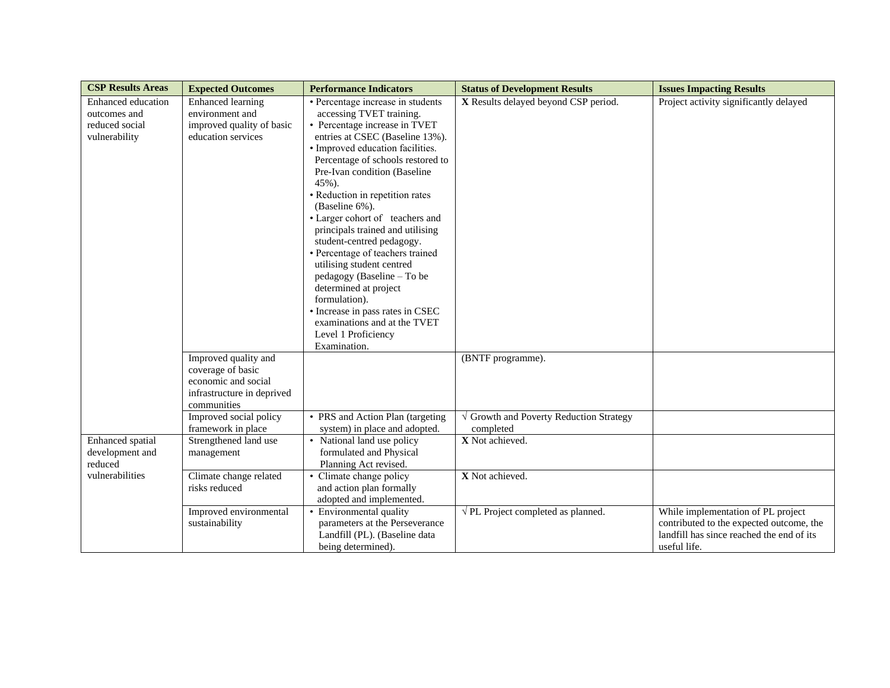| <b>CSP Results Areas</b>                                                     | <b>Expected Outcomes</b>                                                                                        | <b>Performance Indicators</b>                                                                                                                                                                                                                                                                                                                                                                                                                                                                                                                                                                                                                                     | <b>Status of Development Results</b>                      | <b>Issues Impacting Results</b>                                                                                                             |
|------------------------------------------------------------------------------|-----------------------------------------------------------------------------------------------------------------|-------------------------------------------------------------------------------------------------------------------------------------------------------------------------------------------------------------------------------------------------------------------------------------------------------------------------------------------------------------------------------------------------------------------------------------------------------------------------------------------------------------------------------------------------------------------------------------------------------------------------------------------------------------------|-----------------------------------------------------------|---------------------------------------------------------------------------------------------------------------------------------------------|
| <b>Enhanced</b> education<br>outcomes and<br>reduced social<br>vulnerability | Enhanced learning<br>environment and<br>improved quality of basic<br>education services<br>Improved quality and | • Percentage increase in students<br>accessing TVET training.<br>• Percentage increase in TVET<br>entries at CSEC (Baseline 13%).<br>· Improved education facilities.<br>Percentage of schools restored to<br>Pre-Ivan condition (Baseline)<br>45%).<br>• Reduction in repetition rates<br>(Baseline 6%).<br>• Larger cohort of teachers and<br>principals trained and utilising<br>student-centred pedagogy.<br>• Percentage of teachers trained<br>utilising student centred<br>pedagogy (Baseline - To be<br>determined at project<br>formulation).<br>• Increase in pass rates in CSEC<br>examinations and at the TVET<br>Level 1 Proficiency<br>Examination. | X Results delayed beyond CSP period.<br>(BNTF programme). | Project activity significantly delayed                                                                                                      |
|                                                                              | coverage of basic<br>economic and social<br>infrastructure in deprived<br>communities<br>Improved social policy | • PRS and Action Plan (targeting                                                                                                                                                                                                                                                                                                                                                                                                                                                                                                                                                                                                                                  | $\sqrt{ }$ Growth and Poverty Reduction Strategy          |                                                                                                                                             |
|                                                                              | framework in place                                                                                              | system) in place and adopted.                                                                                                                                                                                                                                                                                                                                                                                                                                                                                                                                                                                                                                     | completed                                                 |                                                                                                                                             |
| Enhanced spatial<br>development and<br>reduced                               | Strengthened land use<br>management                                                                             | • National land use policy<br>formulated and Physical<br>Planning Act revised.                                                                                                                                                                                                                                                                                                                                                                                                                                                                                                                                                                                    | X Not achieved.                                           |                                                                                                                                             |
| vulnerabilities                                                              | Climate change related<br>risks reduced                                                                         | • Climate change policy<br>and action plan formally<br>adopted and implemented.                                                                                                                                                                                                                                                                                                                                                                                                                                                                                                                                                                                   | X Not achieved.                                           |                                                                                                                                             |
|                                                                              | Improved environmental<br>sustainability                                                                        | • Environmental quality<br>parameters at the Perseverance<br>Landfill (PL). (Baseline data<br>being determined).                                                                                                                                                                                                                                                                                                                                                                                                                                                                                                                                                  | $\sqrt{PL}$ Project completed as planned.                 | While implementation of PL project<br>contributed to the expected outcome, the<br>landfill has since reached the end of its<br>useful life. |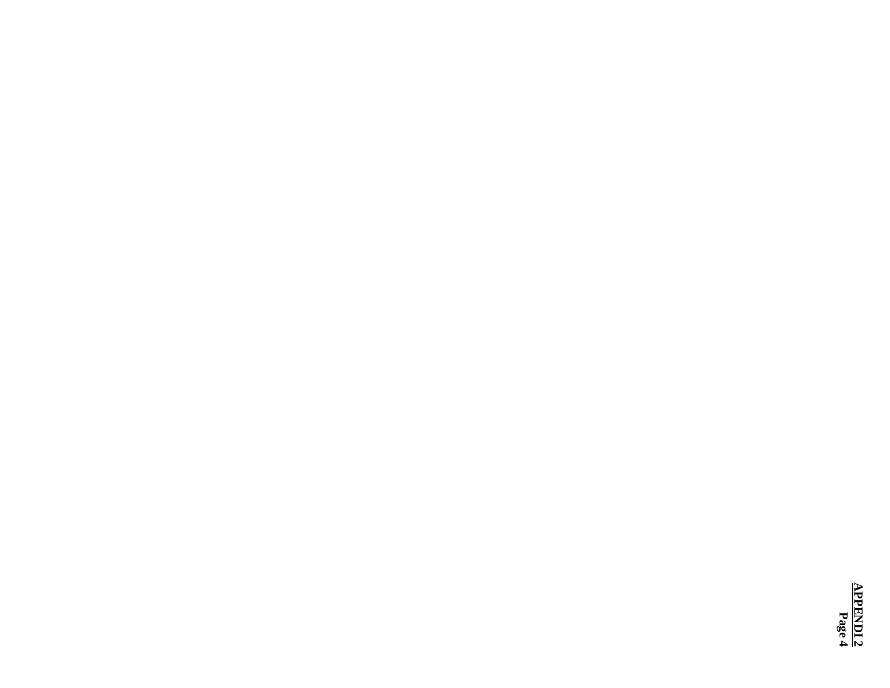